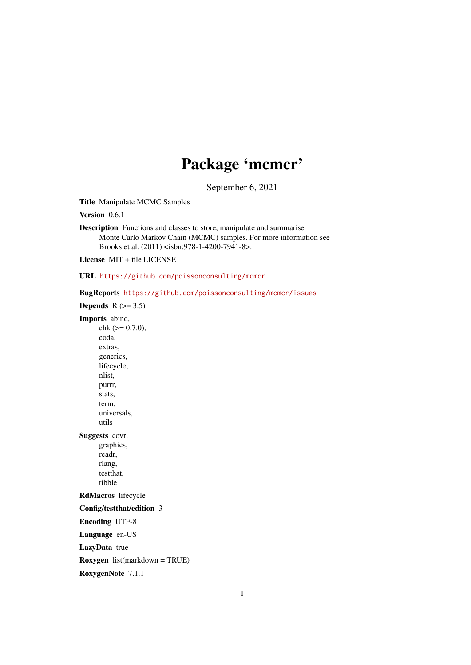# Package 'mcmcr'

September 6, 2021

<span id="page-0-0"></span>Title Manipulate MCMC Samples

Version 0.6.1

Description Functions and classes to store, manipulate and summarise Monte Carlo Markov Chain (MCMC) samples. For more information see Brooks et al. (2011) <isbn:978-1-4200-7941-8>.

License MIT + file LICENSE

URL <https://github.com/poissonconsulting/mcmcr>

BugReports <https://github.com/poissonconsulting/mcmcr/issues>

Depends  $R$  ( $>=$  3.5)

Imports abind,

 $chk$  ( $>= 0.7.0$ ), coda, extras, generics, lifecycle, nlist, purrr, stats, term, universals, utils Suggests covr, graphics, readr, rlang, testthat, tibble

RdMacros lifecycle

Config/testthat/edition 3

Encoding UTF-8

Language en-US

LazyData true

Roxygen list(markdown = TRUE)

RoxygenNote 7.1.1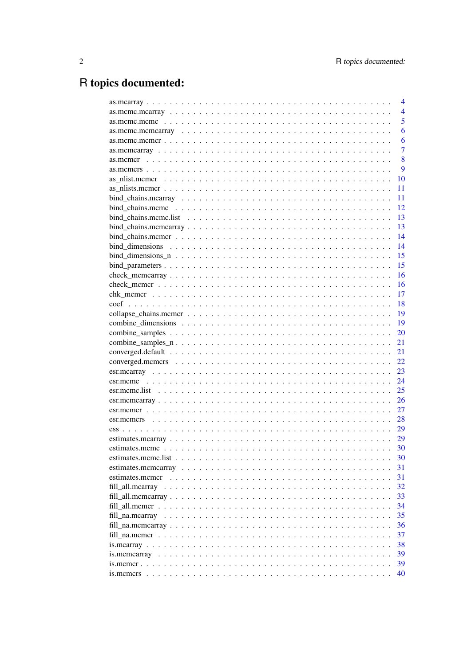# R topics documented:

|                 | 4              |
|-----------------|----------------|
|                 | $\overline{4}$ |
|                 | 5              |
|                 | 6              |
|                 | 6              |
|                 | $\overline{7}$ |
|                 | 8              |
|                 | 9              |
|                 | 10             |
|                 | 11             |
|                 | 11             |
|                 | 12             |
|                 | 13             |
|                 | 13             |
|                 | 14             |
|                 | 14             |
|                 | 15             |
|                 | 15             |
|                 | 16             |
|                 | 16             |
|                 | 17             |
|                 | 18             |
|                 | 19             |
|                 | 19             |
|                 | 20             |
|                 | 21             |
|                 | 21             |
|                 | 22             |
|                 | 23             |
|                 | 24             |
|                 | 25             |
|                 | 26             |
|                 |                |
|                 | 27             |
|                 | 28             |
|                 | 29             |
|                 | 29             |
|                 | 30             |
|                 | 30             |
|                 | 31             |
| estimates.mcmcr | 31             |
|                 | 32             |
|                 | 33             |
|                 | 34             |
|                 | 35             |
|                 | 36             |
|                 | 37             |
|                 | 38             |
|                 | 39             |
|                 | 39             |
|                 | 40             |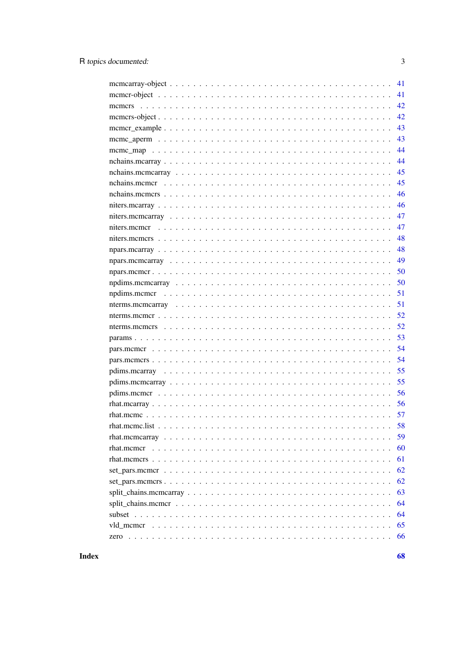| 41 |
|----|
| 41 |
| 42 |
| 42 |
| 43 |
| 43 |
| 44 |
| 44 |
| 45 |
| 45 |
| 46 |
| 46 |
| 47 |
| 47 |
| 48 |
| 48 |
| 49 |
| 50 |
| 50 |
| 51 |
| 51 |
| 52 |
| 52 |
| 53 |
| 54 |
| 54 |
| 55 |
| 55 |
| 56 |
| 56 |
| 57 |
| 58 |
| 59 |
| 60 |
| 61 |
| 62 |
| 62 |
| 63 |
| 64 |
| 64 |
| 65 |
| 66 |

**Index** 

68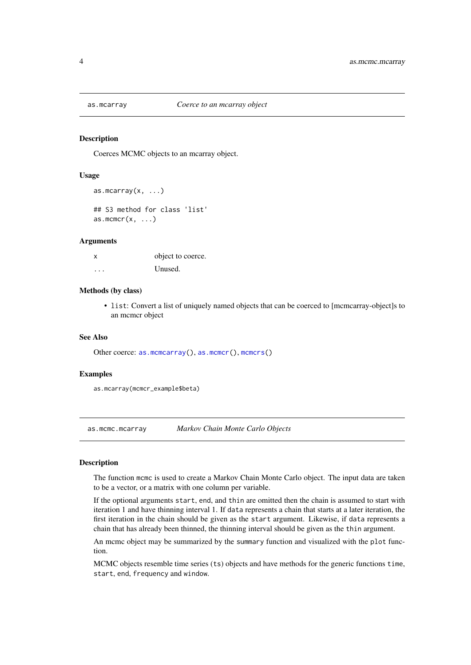<span id="page-3-1"></span><span id="page-3-0"></span>

Coerces MCMC objects to an mcarray object.

#### Usage

```
as.mcarray(x, \ldots)## S3 method for class 'list'
as.mcmcr(x, \ldots)
```
#### Arguments

| x        | object to coerce. |
|----------|-------------------|
| $\cdots$ | Unused.           |

#### Methods (by class)

• list: Convert a list of uniquely named objects that can be coerced to [mcmcarray-object]s to an mcmcr object

#### See Also

Other coerce: [as.mcmcarray\(](#page-6-1)), [as.mcmcr\(](#page-7-1)), [mcmcrs\(](#page-41-1))

#### Examples

as.mcarray(mcmcr\_example\$beta)

as.mcmc.mcarray *Markov Chain Monte Carlo Objects*

#### Description

The function mcmc is used to create a Markov Chain Monte Carlo object. The input data are taken to be a vector, or a matrix with one column per variable.

If the optional arguments start, end, and thin are omitted then the chain is assumed to start with iteration 1 and have thinning interval 1. If data represents a chain that starts at a later iteration, the first iteration in the chain should be given as the start argument. Likewise, if data represents a chain that has already been thinned, the thinning interval should be given as the thin argument.

An mcmc object may be summarized by the summary function and visualized with the plot function.

MCMC objects resemble time series (ts) objects and have methods for the generic functions time, start, end, frequency and window.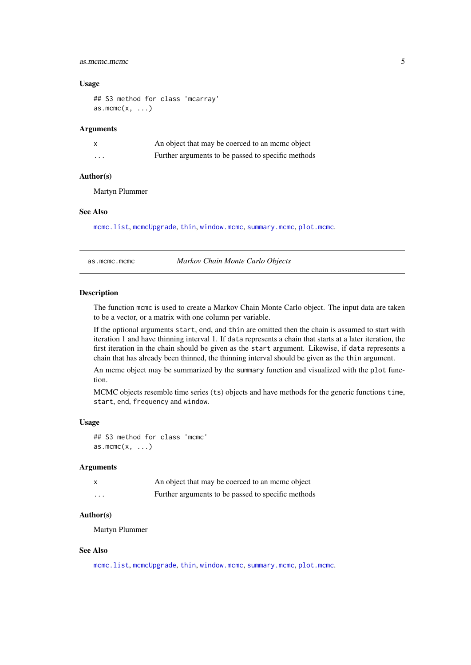#### <span id="page-4-0"></span>as.mcmc.mcmc 5

#### Usage

## S3 method for class 'mcarray' as.mcmc $(x, \ldots)$ 

# Arguments

|          | An object that may be coerced to an mome object    |
|----------|----------------------------------------------------|
| $\cdots$ | Further arguments to be passed to specific methods |

#### Author(s)

Martyn Plummer

# See Also

[mcmc.list](#page-0-0), [mcmcUpgrade](#page-0-0), [thin](#page-0-0), [window.mcmc](#page-0-0), [summary.mcmc](#page-0-0), [plot.mcmc](#page-0-0).

as.mcmc.mcmc *Markov Chain Monte Carlo Objects*

#### Description

The function mcmc is used to create a Markov Chain Monte Carlo object. The input data are taken to be a vector, or a matrix with one column per variable.

If the optional arguments start, end, and thin are omitted then the chain is assumed to start with iteration 1 and have thinning interval 1. If data represents a chain that starts at a later iteration, the first iteration in the chain should be given as the start argument. Likewise, if data represents a chain that has already been thinned, the thinning interval should be given as the thin argument.

An mcmc object may be summarized by the summary function and visualized with the plot function.

MCMC objects resemble time series (ts) objects and have methods for the generic functions time, start, end, frequency and window.

#### Usage

## S3 method for class 'mcmc'  $as.mcmc(x, \ldots)$ 

#### Arguments

|          | An object that may be coerced to an mome object    |
|----------|----------------------------------------------------|
| $\cdots$ | Further arguments to be passed to specific methods |

#### Author(s)

Martyn Plummer

#### See Also

[mcmc.list](#page-0-0), [mcmcUpgrade](#page-0-0), [thin](#page-0-0), [window.mcmc](#page-0-0), [summary.mcmc](#page-0-0), [plot.mcmc](#page-0-0).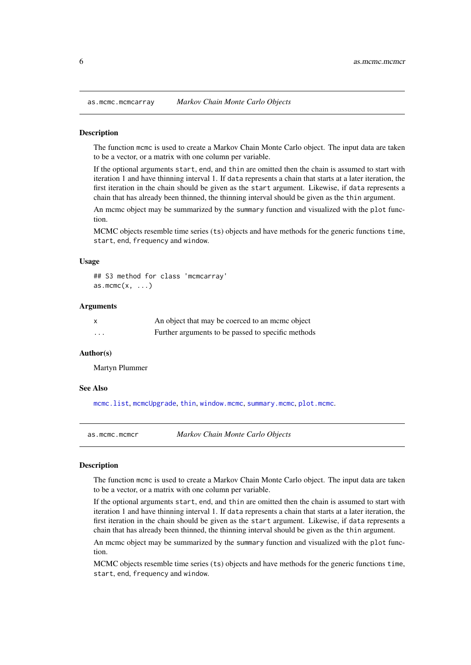<span id="page-5-0"></span>as.mcmc.mcmcarray *Markov Chain Monte Carlo Objects*

#### Description

The function mcmc is used to create a Markov Chain Monte Carlo object. The input data are taken to be a vector, or a matrix with one column per variable.

If the optional arguments start, end, and thin are omitted then the chain is assumed to start with iteration 1 and have thinning interval 1. If data represents a chain that starts at a later iteration, the first iteration in the chain should be given as the start argument. Likewise, if data represents a chain that has already been thinned, the thinning interval should be given as the thin argument.

An mcmc object may be summarized by the summary function and visualized with the plot function.

MCMC objects resemble time series (ts) objects and have methods for the generic functions time, start, end, frequency and window.

#### Usage

```
## S3 method for class 'mcmcarray'
as.mcmc(x, \ldots)
```
#### Arguments

| X        | An object that may be coerced to an meme object    |
|----------|----------------------------------------------------|
| $\cdots$ | Further arguments to be passed to specific methods |

#### Author(s)

Martyn Plummer

#### See Also

[mcmc.list](#page-0-0), [mcmcUpgrade](#page-0-0), [thin](#page-0-0), [window.mcmc](#page-0-0), [summary.mcmc](#page-0-0), [plot.mcmc](#page-0-0).

as.mcmc.mcmcr *Markov Chain Monte Carlo Objects*

#### **Description**

The function mcmc is used to create a Markov Chain Monte Carlo object. The input data are taken to be a vector, or a matrix with one column per variable.

If the optional arguments start, end, and thin are omitted then the chain is assumed to start with iteration 1 and have thinning interval 1. If data represents a chain that starts at a later iteration, the first iteration in the chain should be given as the start argument. Likewise, if data represents a chain that has already been thinned, the thinning interval should be given as the thin argument.

An mcmc object may be summarized by the summary function and visualized with the plot function.

MCMC objects resemble time series (ts) objects and have methods for the generic functions time, start, end, frequency and window.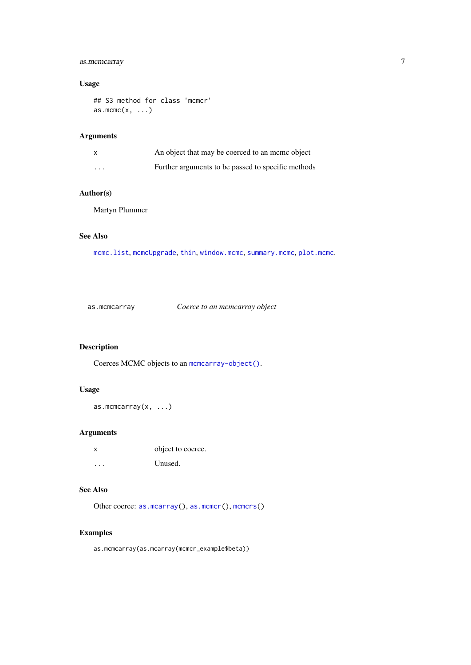# <span id="page-6-0"></span>as.mcmcarray 7

#### Usage

```
## S3 method for class 'mcmcr'
as.mcmc(x, \ldots)
```
# Arguments

|          | An object that may be coerced to an meme object    |
|----------|----------------------------------------------------|
| $\cdots$ | Further arguments to be passed to specific methods |

#### Author(s)

Martyn Plummer

#### See Also

[mcmc.list](#page-0-0), [mcmcUpgrade](#page-0-0), [thin](#page-0-0), [window.mcmc](#page-0-0), [summary.mcmc](#page-0-0), [plot.mcmc](#page-0-0).

<span id="page-6-1"></span>as.mcmcarray *Coerce to an mcmcarray object*

# Description

Coerces MCMC objects to an [mcmcarray-object\(\)](#page-40-1).

#### Usage

as.mcmcarray(x, ...)

#### Arguments

| x       | object to coerce. |
|---------|-------------------|
| $\cdot$ | Unused.           |

#### See Also

Other coerce: [as.mcarray\(](#page-3-1)), [as.mcmcr\(](#page-7-1)), [mcmcrs\(](#page-41-1))

# Examples

as.mcmcarray(as.mcarray(mcmcr\_example\$beta))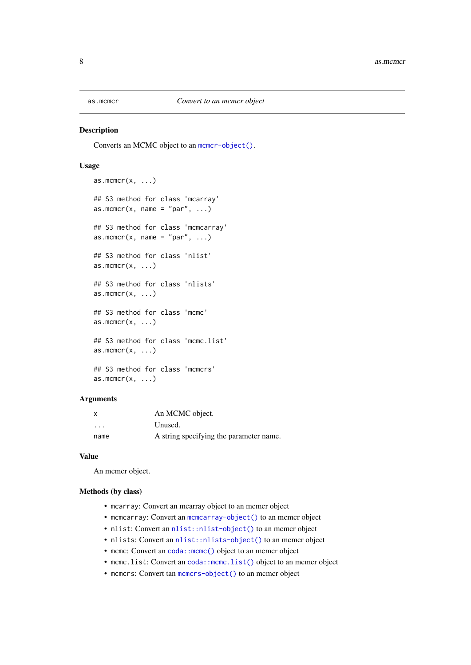<span id="page-7-1"></span><span id="page-7-0"></span>

Converts an MCMC object to an [mcmcr-object\(\)](#page-40-2).

#### Usage

```
as.mcmcr(x, \ldots)## S3 method for class 'mcarray'
as.mcmcr(x, name = "par", \ldots)
## S3 method for class 'mcmcarray'
as.mcmcr(x, name = "par", ...)
## S3 method for class 'nlist'
as.mcmcr(x, \ldots)## S3 method for class 'nlists'
as.mcmcr(x, \ldots)## S3 method for class 'mcmc'
as.mcmcr(x, \ldots)## S3 method for class 'mcmc.list'
as.mcmcr(x, \ldots)## S3 method for class 'mcmcrs'
as.mcmcr(x, \ldots)
```
#### Arguments

| x                       | An MCMC object.                         |
|-------------------------|-----------------------------------------|
| $\cdot$ $\cdot$ $\cdot$ | Unused.                                 |
| name                    | A string specifying the parameter name. |

#### Value

An mcmcr object.

#### Methods (by class)

- mcarray: Convert an mcarray object to an mcmcr object
- mcmcarray: Convert an [mcmcarray-object\(\)](#page-40-1) to an mcmcr object
- nlist: Convert an [nlist::nlist-object\(\)](#page-0-0) to an mcmcr object
- nlists: Convert an [nlist::nlists-object\(\)](#page-0-0) to an mcmcr object
- mcmc: Convert an coda:: mcmc() object to an mcmcr object
- mcmc.list: Convert an coda:: mcmc.list() object to an mcmcr object
- mcmcrs: Convert tan [mcmcrs-object\(\)](#page-41-2) to an mcmcr object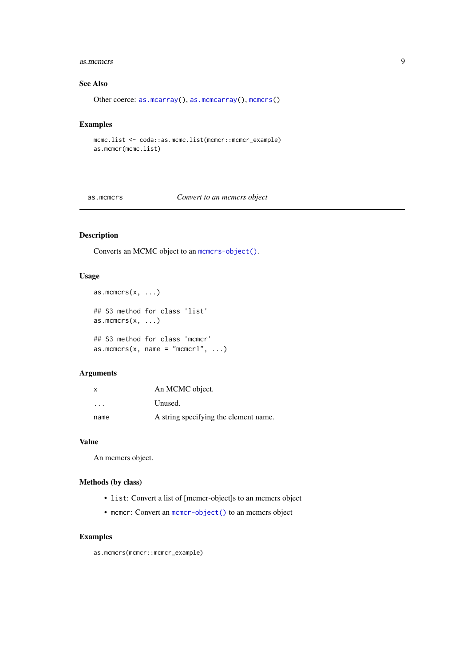#### <span id="page-8-0"></span>as.mcmcrs 9

#### See Also

Other coerce: [as.mcarray\(](#page-3-1)), [as.mcmcarray\(](#page-6-1)), [mcmcrs\(](#page-41-1))

#### Examples

```
mcmc.list <- coda::as.mcmc.list(mcmcr::mcmcr_example)
as.mcmcr(mcmc.list)
```
as.mcmcrs *Convert to an mcmcrs object*

# Description

Converts an MCMC object to an [mcmcrs-object\(\)](#page-41-2).

#### Usage

```
as.mcmcrs(x, \ldots)## S3 method for class 'list'
as.mcmcrs(x, \ldots)## S3 method for class 'mcmcr'
as.mcmcrs(x, name = "mcmcr1", \dots)
```
#### Arguments

| x                       | An MCMC object.                       |
|-------------------------|---------------------------------------|
| $\cdot$ $\cdot$ $\cdot$ | Unused.                               |
| name                    | A string specifying the element name. |

#### Value

An mcmcrs object.

# Methods (by class)

- list: Convert a list of [mcmcr-object]s to an mcmcrs object
- mcmcr: Convert an [mcmcr-object\(\)](#page-40-2) to an mcmcrs object

### Examples

as.mcmcrs(mcmcr::mcmcr\_example)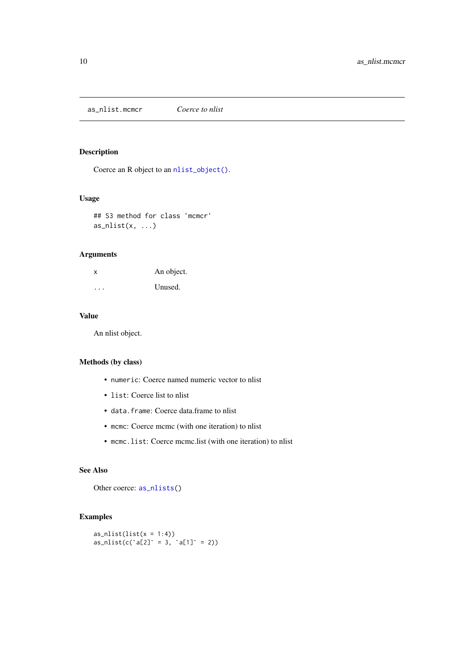<span id="page-9-0"></span>as\_nlist.mcmcr *Coerce to nlist*

# Description

Coerce an R object to an [nlist\\_object\(\)](#page-0-0).

# Usage

## S3 method for class 'mcmcr'  $as\_nlist(x, ...)$ 

# Arguments

| x        | An object. |
|----------|------------|
| $\cdots$ | Unused.    |

## Value

An nlist object.

# Methods (by class)

- numeric: Coerce named numeric vector to nlist
- list: Coerce list to nlist
- data.frame: Coerce data.frame to nlist
- mcmc: Coerce mcmc (with one iteration) to nlist
- mcmc.list: Coerce mcmc.list (with one iteration) to nlist

# See Also

Other coerce: [as\\_nlists\(](#page-0-0))

# Examples

```
as_nlist(list(x = 1:4))
as\_nlist(c('a[2] = 3, 'a[1] = 2))
```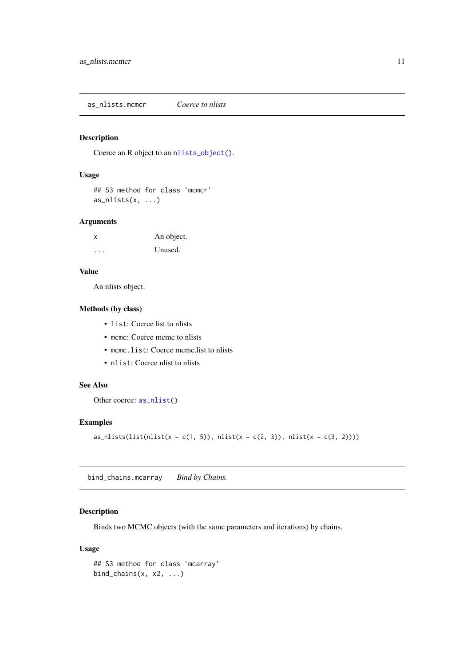<span id="page-10-0"></span>as\_nlists.mcmcr *Coerce to nlists*

#### Description

Coerce an R object to an [nlists\\_object\(\)](#page-0-0).

#### Usage

```
## S3 method for class 'mcmcr'
as\_nlists(x, ...)
```
#### Arguments

| X | An object. |
|---|------------|
| . | Unused.    |

#### Value

An nlists object.

# Methods (by class)

- list: Coerce list to nlists
- mcmc: Coerce mcmc to nlists
- mcmc.list: Coerce mcmc.list to nlists
- nlist: Coerce nlist to nlists

#### See Also

Other coerce: [as\\_nlist\(](#page-0-0))

#### Examples

as\_nlists(list(nlist(x = c(1, 5)), nlist(x = c(2, 3)), nlist(x = c(3, 2))))

bind\_chains.mcarray *Bind by Chains.*

#### Description

Binds two MCMC objects (with the same parameters and iterations) by chains.

# Usage

```
## S3 method for class 'mcarray'
bind_chains(x, x2, ...)
```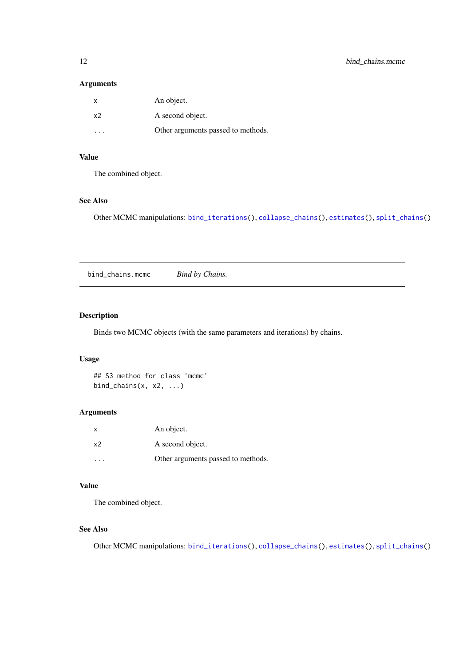#### <span id="page-11-0"></span>Arguments

| $\mathsf{x}$   | An object.                         |
|----------------|------------------------------------|
| x <sub>2</sub> | A second object.                   |
|                | Other arguments passed to methods. |

#### Value

The combined object.

# See Also

Other MCMC manipulations: [bind\\_iterations\(](#page-0-0)), [collapse\\_chains\(](#page-0-0)), [estimates\(](#page-0-0)), [split\\_chains\(](#page-0-0))

bind\_chains.mcmc *Bind by Chains.*

# Description

Binds two MCMC objects (with the same parameters and iterations) by chains.

# Usage

## S3 method for class 'mcmc' bind\_chains $(x, x2, ...)$ 

# Arguments

| $\mathsf{X}$ | An object.                         |
|--------------|------------------------------------|
| x2           | A second object.                   |
| .            | Other arguments passed to methods. |

# Value

The combined object.

#### See Also

Other MCMC manipulations: [bind\\_iterations\(](#page-0-0)), [collapse\\_chains\(](#page-0-0)), [estimates\(](#page-0-0)), [split\\_chains\(](#page-0-0))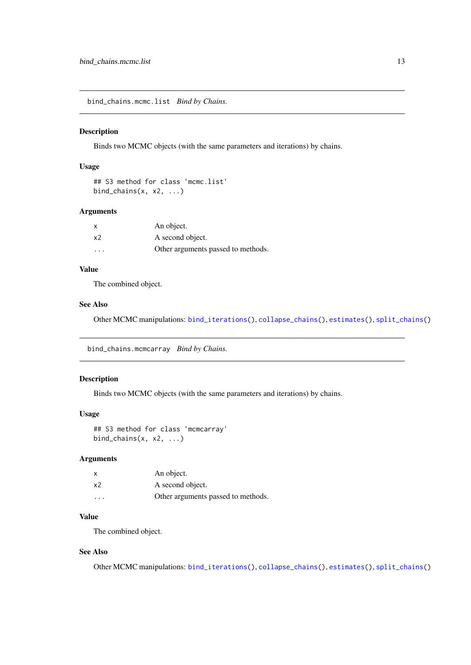<span id="page-12-0"></span>bind\_chains.mcmc.list *Bind by Chains.*

#### Description

Binds two MCMC objects (with the same parameters and iterations) by chains.

# Usage

```
## S3 method for class 'mcmc.list'
bind_chains(x, x^2, \ldots)
```
## Arguments

| x                       | An object.                         |
|-------------------------|------------------------------------|
| x2                      | A second object.                   |
| $\cdot$ $\cdot$ $\cdot$ | Other arguments passed to methods. |

# Value

The combined object.

#### See Also

Other MCMC manipulations: [bind\\_iterations\(](#page-0-0)), [collapse\\_chains\(](#page-0-0)), [estimates\(](#page-0-0)), [split\\_chains\(](#page-0-0))

bind\_chains.mcmcarray *Bind by Chains.*

#### Description

Binds two MCMC objects (with the same parameters and iterations) by chains.

#### Usage

```
## S3 method for class 'mcmcarray'
bind_chains(x, x2, \ldots)
```
#### Arguments

| x                       | An object.                         |
|-------------------------|------------------------------------|
| х2                      | A second object.                   |
| $\cdot$ $\cdot$ $\cdot$ | Other arguments passed to methods. |

### Value

The combined object.

#### See Also

Other MCMC manipulations: [bind\\_iterations\(](#page-0-0)), [collapse\\_chains\(](#page-0-0)), [estimates\(](#page-0-0)), [split\\_chains\(](#page-0-0))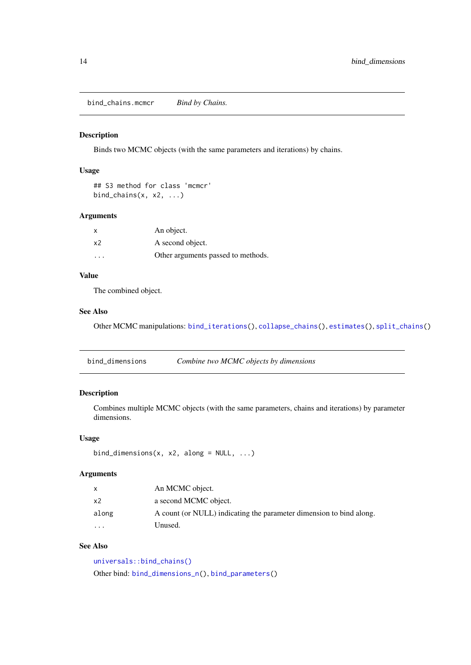<span id="page-13-0"></span>bind\_chains.mcmcr *Bind by Chains.*

#### Description

Binds two MCMC objects (with the same parameters and iterations) by chains.

# Usage

```
## S3 method for class 'mcmcr'
bind_chains(x, x2, ...)
```
#### Arguments

| $\boldsymbol{\mathsf{x}}$ | An object.                         |
|---------------------------|------------------------------------|
| x <sub>2</sub>            | A second object.                   |
| $\cdot$ $\cdot$ $\cdot$   | Other arguments passed to methods. |

# Value

The combined object.

# See Also

Other MCMC manipulations: [bind\\_iterations\(](#page-0-0)), [collapse\\_chains\(](#page-0-0)), [estimates\(](#page-0-0)), [split\\_chains\(](#page-0-0))

<span id="page-13-1"></span>

| bind_dimensions | Combine two MCMC objects by dimensions |
|-----------------|----------------------------------------|
|-----------------|----------------------------------------|

# Description

Combines multiple MCMC objects (with the same parameters, chains and iterations) by parameter dimensions.

# Usage

```
bind_dimensions(x, x2, along = NULL, ...)
```
#### Arguments

| $\mathsf{x}$ | An MCMC object.                                                     |
|--------------|---------------------------------------------------------------------|
| x2           | a second MCMC object.                                               |
| along        | A count (or NULL) indicating the parameter dimension to bind along. |
| .            | Unused.                                                             |

#### See Also

[universals::bind\\_chains\(\)](#page-0-0) Other bind: [bind\\_dimensions\\_n\(](#page-14-1)), [bind\\_parameters\(](#page-14-2))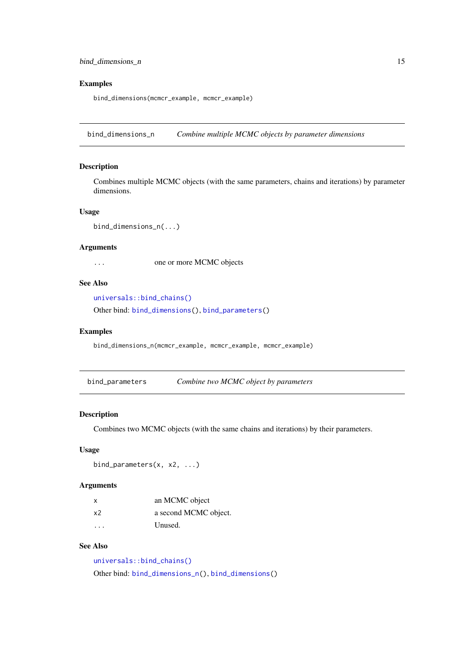#### <span id="page-14-0"></span>bind\_dimensions\_n 15

#### Examples

bind\_dimensions(mcmcr\_example, mcmcr\_example)

<span id="page-14-1"></span>bind\_dimensions\_n *Combine multiple MCMC objects by parameter dimensions*

#### Description

Combines multiple MCMC objects (with the same parameters, chains and iterations) by parameter dimensions.

# Usage

```
bind_dimensions_n(...)
```
#### Arguments

... one or more MCMC objects

# See Also

[universals::bind\\_chains\(\)](#page-0-0)

Other bind: [bind\\_dimensions\(](#page-13-1)), [bind\\_parameters\(](#page-14-2))

#### Examples

bind\_dimensions\_n(mcmcr\_example, mcmcr\_example, mcmcr\_example)

<span id="page-14-2"></span>bind\_parameters *Combine two MCMC object by parameters*

#### Description

Combines two MCMC objects (with the same chains and iterations) by their parameters.

# Usage

```
bind_parameters(x, x2, ...)
```
#### Arguments

| X                       | an MCMC object        |
|-------------------------|-----------------------|
| x2                      | a second MCMC object. |
| $\cdot$ $\cdot$ $\cdot$ | Unused.               |

#### See Also

[universals::bind\\_chains\(\)](#page-0-0) Other bind: [bind\\_dimensions\\_n\(](#page-14-1)), [bind\\_dimensions\(](#page-13-1))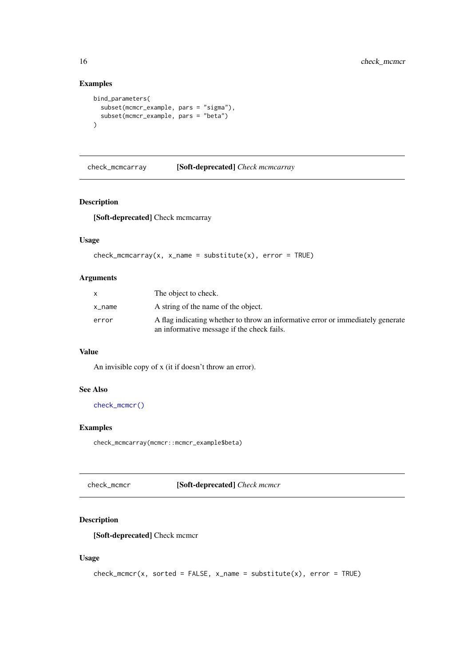# Examples

```
bind_parameters(
  subset(mcmcr_example, pars = "sigma"),
  subset(mcmcr_example, pars = "beta")
)
```
check\_mcmcarray [Soft-deprecated] *Check mcmcarray*

#### Description

[Soft-deprecated] Check mcmcarray

# Usage

```
check_mcmcarray(x, x_name = substitute(x), error = TRUE)
```
#### Arguments

|        | The object to check.                                                                                                          |
|--------|-------------------------------------------------------------------------------------------------------------------------------|
| x name | A string of the name of the object.                                                                                           |
| error  | A flag indicating whether to throw an informative error or immediately generate<br>an informative message if the check fails. |

# Value

An invisible copy of x (it if doesn't throw an error).

#### See Also

[check\\_mcmcr\(\)](#page-15-1)

#### Examples

check\_mcmcarray(mcmcr::mcmcr\_example\$beta)

<span id="page-15-1"></span>check\_mcmcr [Soft-deprecated] *Check mcmcr*

# Description

[Soft-deprecated] Check mcmcr

# Usage

```
check_mcmcr(x, sorted = FALSE, x_name = substitute(x), error = TRUE)
```
<span id="page-15-0"></span>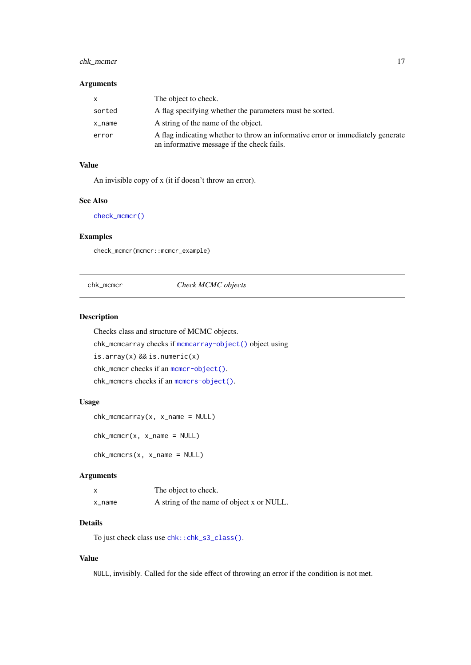#### <span id="page-16-0"></span>chk\_mcmcr 17

#### Arguments

| X      | The object to check.                                                                                                          |
|--------|-------------------------------------------------------------------------------------------------------------------------------|
| sorted | A flag specifying whether the parameters must be sorted.                                                                      |
| x_name | A string of the name of the object.                                                                                           |
| error  | A flag indicating whether to throw an informative error or immediately generate<br>an informative message if the check fails. |

# Value

An invisible copy of x (it if doesn't throw an error).

#### See Also

[check\\_mcmcr\(\)](#page-15-1)

# Examples

check\_mcmcr(mcmcr::mcmcr\_example)

<span id="page-16-1"></span>chk\_mcmcr *Check MCMC objects*

#### Description

Checks class and structure of MCMC objects.

chk\_mcmcarray checks if [mcmcarray-object\(\)](#page-40-1) object using is.array(x) && is.numeric(x) chk\_mcmcr checks if an [mcmcr-object\(\)](#page-40-2). chk\_mcmcrs checks if an [mcmcrs-object\(\)](#page-41-2).

# Usage

```
chk_mcmcarray(x, x_name = NULL)
```
 $chk_mcmcr(x, x_name = NULL)$ 

 $chk_mcmcrs(x, x_name = NULL)$ 

#### Arguments

|        | The object to check.                      |
|--------|-------------------------------------------|
| x_name | A string of the name of object x or NULL. |

#### Details

To just check class use [chk::chk\\_s3\\_class\(\)](#page-0-0).

#### Value

NULL, invisibly. Called for the side effect of throwing an error if the condition is not met.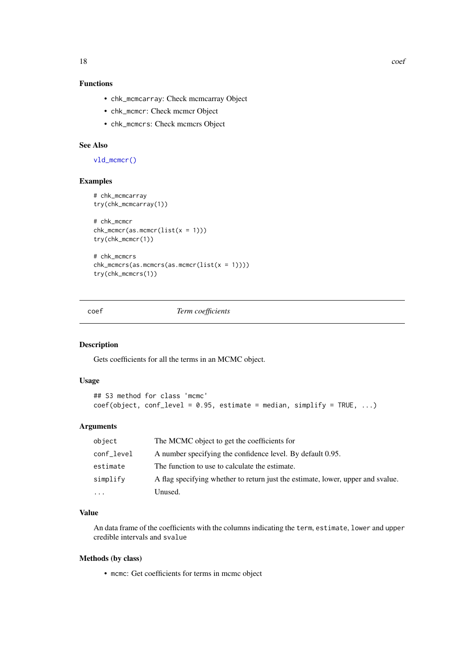# <span id="page-17-0"></span>Functions

- chk\_mcmcarray: Check mcmcarray Object
- chk\_mcmcr: Check mcmcr Object
- chk\_mcmcrs: Check mcmcrs Object

# See Also

[vld\\_mcmcr\(\)](#page-64-1)

#### Examples

```
# chk_mcmcarray
try(chk_mcmcarray(1))
# chk_mcmcr
chk_mcmcr(as.mcmcr(list(x = 1)))try(chk_mcmcr(1))
# chk_mcmcrs
chk_mcmcrs(as.mcmcrs(as.mcmcr(list(x = 1))))
try(chk_mcmcrs(1))
```
coef *Term coefficients*

#### Description

Gets coefficients for all the terms in an MCMC object.

# Usage

```
## S3 method for class 'mcmc'
coef(object, conf\_level = 0.95, estimate = median, simplify = TRUE, ...)
```
#### Arguments

| object     | The MCMC object to get the coefficients for                                     |
|------------|---------------------------------------------------------------------------------|
| conf_level | A number specifying the confidence level. By default 0.95.                      |
| estimate   | The function to use to calculate the estimate.                                  |
| simplify   | A flag specifying whether to return just the estimate, lower, upper and svalue. |
| $\cdots$   | Unused.                                                                         |

#### Value

An data frame of the coefficients with the columns indicating the term, estimate, lower and upper credible intervals and svalue

# Methods (by class)

• mcmc: Get coefficients for terms in mcmc object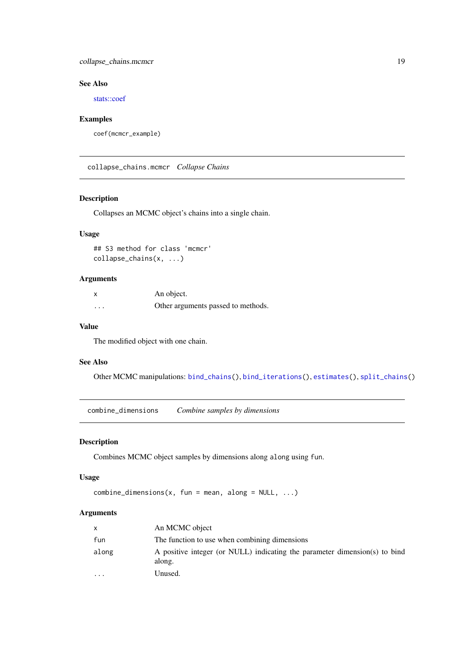#### <span id="page-18-0"></span>collapse\_chains.mcmcr 19

#### See Also

[stats::coef](#page-0-0)

# Examples

```
coef(mcmcr_example)
```
collapse\_chains.mcmcr *Collapse Chains*

# Description

Collapses an MCMC object's chains into a single chain.

# Usage

## S3 method for class 'mcmcr' collapse\_chains(x, ...)

#### Arguments

| $\boldsymbol{\mathsf{x}}$ | An object.                         |
|---------------------------|------------------------------------|
| $\cdots$                  | Other arguments passed to methods. |

# Value

The modified object with one chain.

#### See Also

Other MCMC manipulations: [bind\\_chains\(](#page-0-0)), [bind\\_iterations\(](#page-0-0)), [estimates\(](#page-0-0)), [split\\_chains\(](#page-0-0))

<span id="page-18-1"></span>combine\_dimensions *Combine samples by dimensions*

#### Description

Combines MCMC object samples by dimensions along along using fun.

#### Usage

```
combine\_dimensions(x, fun = mean, along = NULL, ...)
```

| An MCMC object                                                                       |
|--------------------------------------------------------------------------------------|
| The function to use when combining dimensions                                        |
| A positive integer (or NULL) indicating the parameter dimension(s) to bind<br>along. |
| Unused.                                                                              |
|                                                                                      |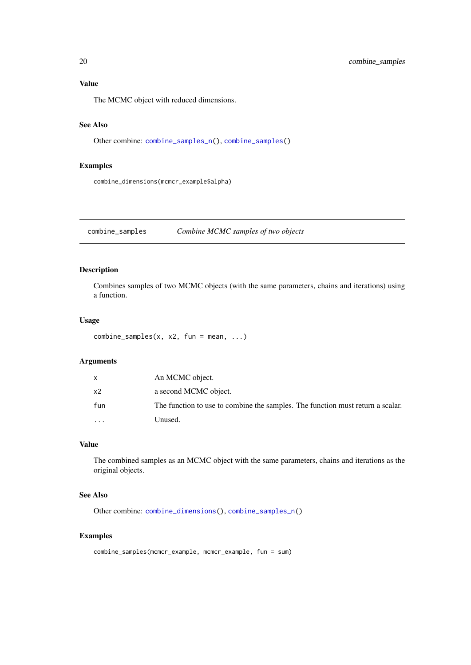# <span id="page-19-0"></span>Value

The MCMC object with reduced dimensions.

# See Also

Other combine: [combine\\_samples\\_n\(](#page-20-1)), [combine\\_samples\(](#page-19-1))

#### Examples

combine\_dimensions(mcmcr\_example\$alpha)

<span id="page-19-1"></span>combine\_samples *Combine MCMC samples of two objects*

#### Description

Combines samples of two MCMC objects (with the same parameters, chains and iterations) using a function.

#### Usage

```
combine\_samples(x, x2, fun = mean, ...)
```
#### Arguments

|           | An MCMC object.                                                                |
|-----------|--------------------------------------------------------------------------------|
| x2        | a second MCMC object.                                                          |
| fun       | The function to use to combine the samples. The function must return a scalar. |
| $\ddotsc$ | Unused.                                                                        |

# Value

The combined samples as an MCMC object with the same parameters, chains and iterations as the original objects.

# See Also

Other combine: [combine\\_dimensions\(](#page-18-1)), [combine\\_samples\\_n\(](#page-20-1))

#### Examples

```
combine_samples(mcmcr_example, mcmcr_example, fun = sum)
```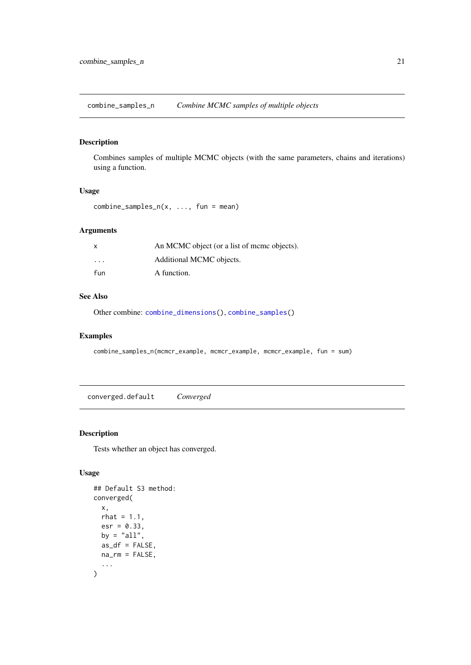<span id="page-20-1"></span><span id="page-20-0"></span>combine\_samples\_n *Combine MCMC samples of multiple objects*

#### Description

Combines samples of multiple MCMC objects (with the same parameters, chains and iterations) using a function.

#### Usage

```
combine\_samples_n(x, ..., fun = mean)
```
# Arguments

| x                       | An MCMC object (or a list of meme objects). |
|-------------------------|---------------------------------------------|
| $\cdot$ $\cdot$ $\cdot$ | Additional MCMC objects.                    |
| fun                     | A function.                                 |

#### See Also

Other combine: [combine\\_dimensions\(](#page-18-1)), [combine\\_samples\(](#page-19-1))

#### Examples

combine\_samples\_n(mcmcr\_example, mcmcr\_example, mcmcr\_example, fun = sum)

converged.default *Converged*

#### Description

Tests whether an object has converged.

#### Usage

```
## Default S3 method:
converged(
  x,
  rhat = 1.1,
  esr = 0.33,
  by = "all",as_df = FALSE,na\_rm = FALSE,...
\mathcal{L}
```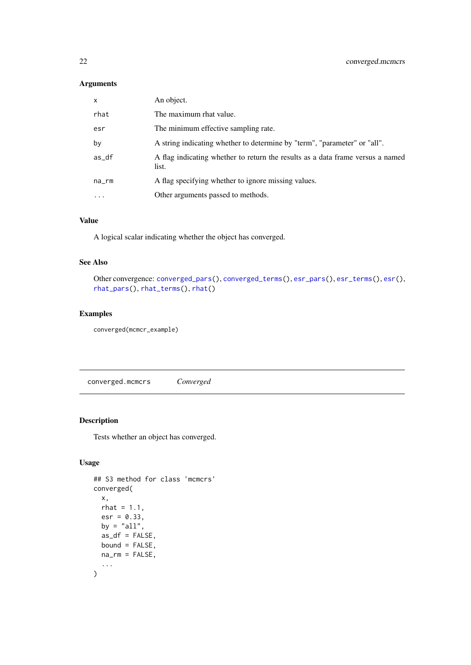#### <span id="page-21-0"></span>Arguments

| $\mathsf{x}$ | An object.                                                                              |
|--------------|-----------------------------------------------------------------------------------------|
| rhat         | The maximum rhat value.                                                                 |
| esr          | The minimum effective sampling rate.                                                    |
| by           | A string indicating whether to determine by "term", "parameter" or "all".               |
| as_df        | A flag indicating whether to return the results as a data frame versus a named<br>list. |
| na_rm        | A flag specifying whether to ignore missing values.                                     |
| $\cdot$      | Other arguments passed to methods.                                                      |

# Value

A logical scalar indicating whether the object has converged.

#### See Also

```
Other convergence: converged_pars(), converged_terms(), esr_pars(), esr_terms(), esr(),
rhat_pars(), rhat_terms(), rhat()
```
#### Examples

converged(mcmcr\_example)

converged.mcmcrs *Converged*

# Description

Tests whether an object has converged.

# Usage

```
## S3 method for class 'mcmcrs'
converged(
  x,
  rhat = 1.1,
  esr = 0.33,
  by = "all",as_df = FALSE,
  bound = FALSE,na_rm = FALSE,
  ...
\mathcal{L}
```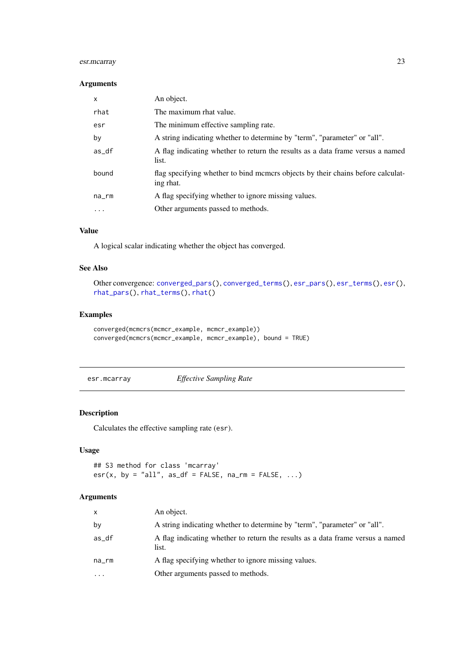#### <span id="page-22-0"></span>esr.mcarray 23

#### Arguments

| $\mathsf{x}$ | An object.                                                                                   |
|--------------|----------------------------------------------------------------------------------------------|
| rhat         | The maximum rhat value.                                                                      |
| esr          | The minimum effective sampling rate.                                                         |
| by           | A string indicating whether to determine by "term", "parameter" or "all".                    |
| as_df        | A flag indicating whether to return the results as a data frame versus a named<br>list.      |
| bound        | flag specifying whether to bind memers objects by their chains before calculat-<br>ing rhat. |
| na_rm        | A flag specifying whether to ignore missing values.                                          |
| .            | Other arguments passed to methods.                                                           |
|              |                                                                                              |

#### Value

A logical scalar indicating whether the object has converged.

#### See Also

```
Other convergence: converged_pars(), converged_terms(), esr_pars(), esr_terms(), esr(),
rhat_pars(), rhat_terms(), rhat()
```
#### Examples

```
converged(mcmcrs(mcmcr_example, mcmcr_example))
converged(mcmcrs(mcmcr_example, mcmcr_example), bound = TRUE)
```
esr.mcarray *Effective Sampling Rate*

# Description

Calculates the effective sampling rate (esr).

#### Usage

```
## S3 method for class 'mcarray'
esr(x, by = "all", as_df = FALSE, na_rm = FALSE, ...)
```

| An object.                                                                              |
|-----------------------------------------------------------------------------------------|
| A string indicating whether to determine by "term", "parameter" or "all".               |
| A flag indicating whether to return the results as a data frame versus a named<br>list. |
| A flag specifying whether to ignore missing values.                                     |
| Other arguments passed to methods.                                                      |
|                                                                                         |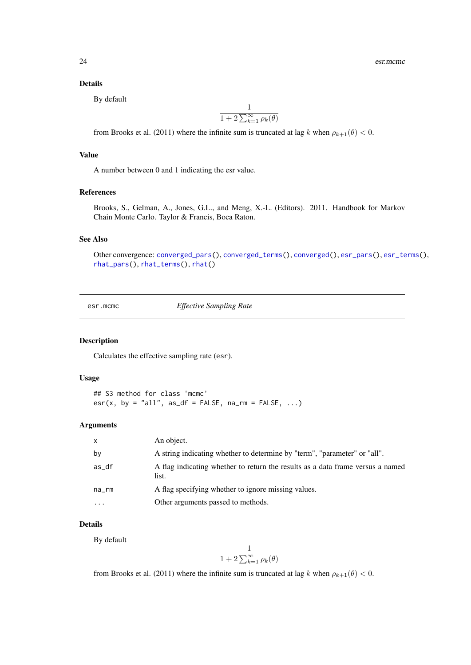#### <span id="page-23-0"></span>Details

By default

$$
\frac{1}{1+2\sum_{k=1}^{\infty}\rho_k(\theta)}
$$

from Brooks et al. (2011) where the infinite sum is truncated at lag k when  $\rho_{k+1}(\theta) < 0$ .

# Value

A number between 0 and 1 indicating the esr value.

#### References

Brooks, S., Gelman, A., Jones, G.L., and Meng, X.-L. (Editors). 2011. Handbook for Markov Chain Monte Carlo. Taylor & Francis, Boca Raton.

# See Also

```
Other convergence: converged_pars(), converged_terms(), converged(), esr_pars(), esr_terms(),
rhat_pars(), rhat_terms(), rhat()
```
esr.mcmc *Effective Sampling Rate*

#### Description

Calculates the effective sampling rate (esr).

#### Usage

```
## S3 method for class 'mcmc'
esr(x, by = "all", as_df = FALSE, na_rm = FALSE, ...)
```
#### Arguments

| $\mathsf{x}$ | An object.                                                                              |
|--------------|-----------------------------------------------------------------------------------------|
| by           | A string indicating whether to determine by "term", "parameter" or "all".               |
| as_df        | A flag indicating whether to return the results as a data frame versus a named<br>list. |
| na_rm        | A flag specifying whether to ignore missing values.                                     |
| $\ddotsc$    | Other arguments passed to methods.                                                      |

# Details

By default

$$
\frac{1}{1+2\sum_{k=1}^{\infty}\rho_k(\theta)}
$$

from Brooks et al. (2011) where the infinite sum is truncated at lag k when  $\rho_{k+1}(\theta) < 0$ .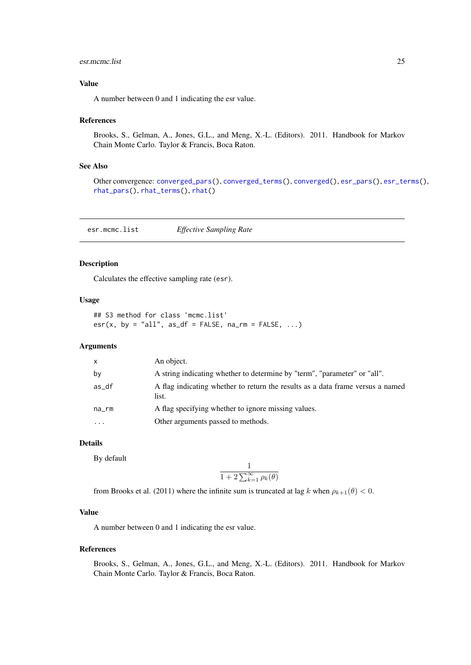#### <span id="page-24-0"></span>esr.mcmc.list 25

#### Value

A number between 0 and 1 indicating the esr value.

#### References

Brooks, S., Gelman, A., Jones, G.L., and Meng, X.-L. (Editors). 2011. Handbook for Markov Chain Monte Carlo. Taylor & Francis, Boca Raton.

#### See Also

```
Other convergence: converged_pars(), converged_terms(), converged(), esr_pars(), esr_terms(),
rhat_pars(), rhat_terms(), rhat()
```
esr.mcmc.list *Effective Sampling Rate*

#### Description

Calculates the effective sampling rate (esr).

#### Usage

## S3 method for class 'mcmc.list'  $esr(x, by = "all", as_df = FALSE, na_rm = FALSE, ...)$ 

# Arguments

| $\mathsf{x}$ | An object.                                                                              |
|--------------|-----------------------------------------------------------------------------------------|
| by           | A string indicating whether to determine by "term", "parameter" or "all".               |
| as_df        | A flag indicating whether to return the results as a data frame versus a named<br>list. |
| na_rm        | A flag specifying whether to ignore missing values.                                     |
| $\cdots$     | Other arguments passed to methods.                                                      |

#### Details

By default

$$
\frac{1}{1+2\sum_{k=1}^{\infty} \rho_k(\theta)}
$$

from Brooks et al. (2011) where the infinite sum is truncated at lag k when  $\rho_{k+1}(\theta) < 0$ .

#### Value

A number between 0 and 1 indicating the esr value.

#### References

Brooks, S., Gelman, A., Jones, G.L., and Meng, X.-L. (Editors). 2011. Handbook for Markov Chain Monte Carlo. Taylor & Francis, Boca Raton.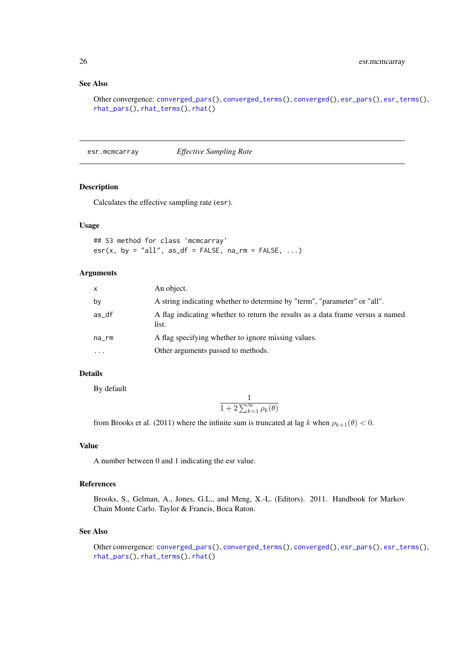# See Also

Other convergence: [converged\\_pars\(](#page-0-0)), [converged\\_terms\(](#page-0-0)), [converged\(](#page-0-0)), [esr\\_pars\(](#page-0-0)), [esr\\_terms\(](#page-0-0)), [rhat\\_pars\(](#page-0-0)), [rhat\\_terms\(](#page-0-0)), [rhat\(](#page-0-0))

esr.mcmcarray *Effective Sampling Rate*

#### Description

Calculates the effective sampling rate (esr).

#### Usage

```
## S3 method for class 'mcmcarray'
esr(x, by = "all", as_df = FALSE, na_rm = FALSE, ...)
```
#### Arguments

| X        | An object.                                                                              |
|----------|-----------------------------------------------------------------------------------------|
| by       | A string indicating whether to determine by "term", "parameter" or "all".               |
| as_df    | A flag indicating whether to return the results as a data frame versus a named<br>list. |
| na_rm    | A flag specifying whether to ignore missing values.                                     |
| $\cdots$ | Other arguments passed to methods.                                                      |

#### Details

By default

$$
\frac{1}{1+2\sum_{k=1}^{\infty} \rho_k(\theta)}
$$

from Brooks et al. (2011) where the infinite sum is truncated at lag k when  $\rho_{k+1}(\theta) < 0$ .

#### Value

A number between 0 and 1 indicating the esr value.

# References

Brooks, S., Gelman, A., Jones, G.L., and Meng, X.-L. (Editors). 2011. Handbook for Markov Chain Monte Carlo. Taylor & Francis, Boca Raton.

#### See Also

Other convergence: [converged\\_pars\(](#page-0-0)), [converged\\_terms\(](#page-0-0)), [converged\(](#page-0-0)), [esr\\_pars\(](#page-0-0)), [esr\\_terms\(](#page-0-0)), [rhat\\_pars\(](#page-0-0)), [rhat\\_terms\(](#page-0-0)), [rhat\(](#page-0-0))

<span id="page-25-0"></span>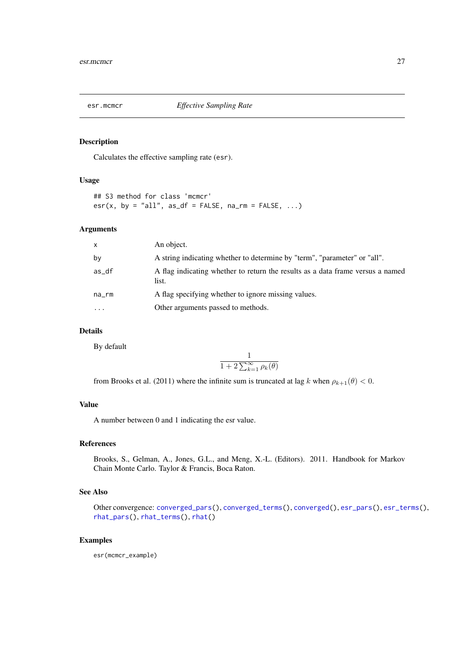<span id="page-26-0"></span>

Calculates the effective sampling rate (esr).

#### Usage

## S3 method for class 'mcmcr'  $esr(x, by = "all", as_df = FALSE, na_rm = FALSE, ...)$ 

# Arguments

| $\mathsf{x}$ | An object.                                                                              |
|--------------|-----------------------------------------------------------------------------------------|
| by           | A string indicating whether to determine by "term", "parameter" or "all".               |
| as_df        | A flag indicating whether to return the results as a data frame versus a named<br>list. |
| na_rm        | A flag specifying whether to ignore missing values.                                     |
| $\cdot$      | Other arguments passed to methods.                                                      |

#### Details

By default

$$
\frac{1}{1+2\sum_{k=1}^{\infty}\rho_k(\theta)}
$$

from Brooks et al. (2011) where the infinite sum is truncated at lag k when  $\rho_{k+1}(\theta) < 0$ .

#### Value

A number between 0 and 1 indicating the esr value.

#### References

Brooks, S., Gelman, A., Jones, G.L., and Meng, X.-L. (Editors). 2011. Handbook for Markov Chain Monte Carlo. Taylor & Francis, Boca Raton.

#### See Also

Other convergence: [converged\\_pars\(](#page-0-0)), [converged\\_terms\(](#page-0-0)), [converged\(](#page-0-0)), [esr\\_pars\(](#page-0-0)), [esr\\_terms\(](#page-0-0)), [rhat\\_pars\(](#page-0-0)), [rhat\\_terms\(](#page-0-0)), [rhat\(](#page-0-0))

#### Examples

esr(mcmcr\_example)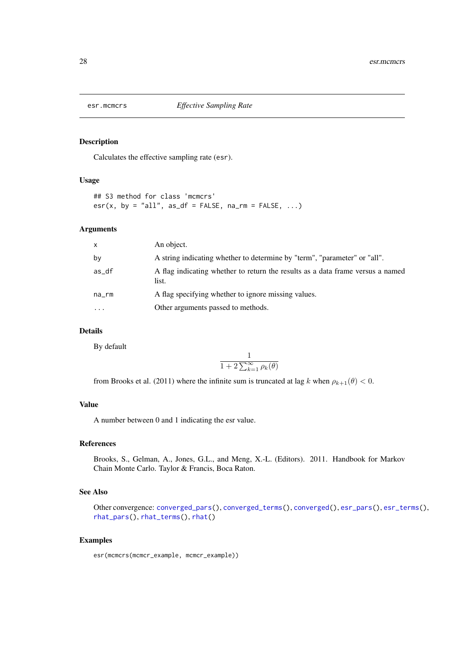<span id="page-27-0"></span>

Calculates the effective sampling rate (esr).

#### Usage

## S3 method for class 'mcmcrs'  $esr(x, by = "all", as_df = FALSE, na_rm = FALSE, ...)$ 

# Arguments

| $\mathsf{x}$ | An object.                                                                              |
|--------------|-----------------------------------------------------------------------------------------|
| by           | A string indicating whether to determine by "term", "parameter" or "all".               |
| as_df        | A flag indicating whether to return the results as a data frame versus a named<br>list. |
| na_rm        | A flag specifying whether to ignore missing values.                                     |
| $\cdot$      | Other arguments passed to methods.                                                      |

#### Details

By default

$$
\frac{1}{1+2\sum_{k=1}^{\infty}\rho_k(\theta)}
$$

from Brooks et al. (2011) where the infinite sum is truncated at lag k when  $\rho_{k+1}(\theta) < 0$ .

#### Value

A number between 0 and 1 indicating the esr value.

#### References

Brooks, S., Gelman, A., Jones, G.L., and Meng, X.-L. (Editors). 2011. Handbook for Markov Chain Monte Carlo. Taylor & Francis, Boca Raton.

#### See Also

Other convergence: [converged\\_pars\(](#page-0-0)), [converged\\_terms\(](#page-0-0)), [converged\(](#page-0-0)), [esr\\_pars\(](#page-0-0)), [esr\\_terms\(](#page-0-0)), [rhat\\_pars\(](#page-0-0)), [rhat\\_terms\(](#page-0-0)), [rhat\(](#page-0-0))

#### Examples

```
esr(mcmcrs(mcmcr_example, mcmcr_example))
```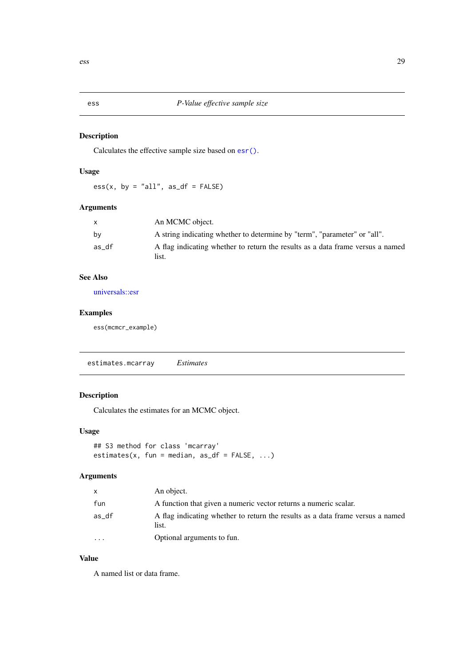<span id="page-28-0"></span>

Calculates the effective sample size based on [esr\(\)](#page-0-0).

# Usage

 $ess(x, by = "all", as_df = FALSE)$ 

# Arguments

| X     | An MCMC object.                                                                         |
|-------|-----------------------------------------------------------------------------------------|
| by    | A string indicating whether to determine by "term", "parameter" or "all".               |
| as df | A flag indicating whether to return the results as a data frame versus a named<br>list. |

# See Also

[universals::esr](#page-0-0)

#### Examples

ess(mcmcr\_example)

estimates.mcarray *Estimates*

# Description

Calculates the estimates for an MCMC object.

# Usage

```
## S3 method for class 'mcarray'
estimates(x, fun = median, as_d f = FALSE, ...)
```
# Arguments

| X        | An object.                                                                              |
|----------|-----------------------------------------------------------------------------------------|
| fun      | A function that given a numeric vector returns a numeric scalar.                        |
| as df    | A flag indicating whether to return the results as a data frame versus a named<br>list. |
| $\cdots$ | Optional arguments to fun.                                                              |

# Value

A named list or data frame.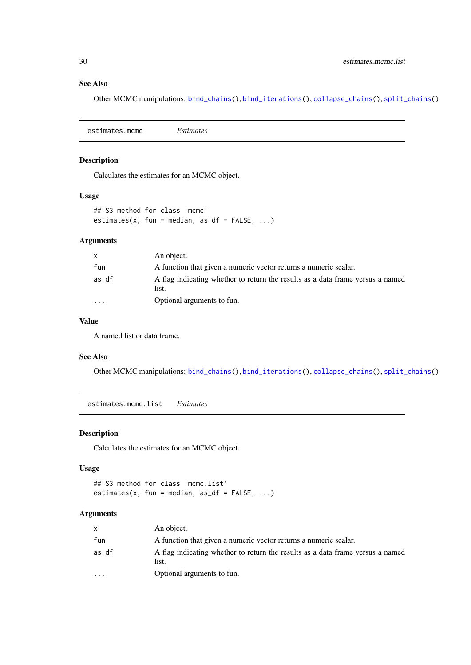#### See Also

Other MCMC manipulations: [bind\\_chains\(](#page-0-0)), [bind\\_iterations\(](#page-0-0)), [collapse\\_chains\(](#page-0-0)), [split\\_chains\(](#page-0-0))

estimates.mcmc *Estimates*

# Description

Calculates the estimates for an MCMC object.

#### Usage

```
## S3 method for class 'mcmc'
estimates(x, fun = median, as_df = FALSE, ...)
```
#### Arguments

| $\mathsf{x}$            | An object.                                                                              |
|-------------------------|-----------------------------------------------------------------------------------------|
| fun                     | A function that given a numeric vector returns a numeric scalar.                        |
| as df                   | A flag indicating whether to return the results as a data frame versus a named<br>list. |
| $\cdot$ $\cdot$ $\cdot$ | Optional arguments to fun.                                                              |

# Value

A named list or data frame.

#### See Also

Other MCMC manipulations: [bind\\_chains\(](#page-0-0)), [bind\\_iterations\(](#page-0-0)), [collapse\\_chains\(](#page-0-0)), [split\\_chains\(](#page-0-0))

estimates.mcmc.list *Estimates*

#### Description

Calculates the estimates for an MCMC object.

#### Usage

```
## S3 method for class 'mcmc.list'
estimates(x, fun = median, as_d f = FALSE, ...)
```

| $\mathsf{x}$ | An object.                                                                              |
|--------------|-----------------------------------------------------------------------------------------|
| fun          | A function that given a numeric vector returns a numeric scalar.                        |
| as_df        | A flag indicating whether to return the results as a data frame versus a named<br>list. |
| $\cdots$     | Optional arguments to fun.                                                              |

<span id="page-29-0"></span>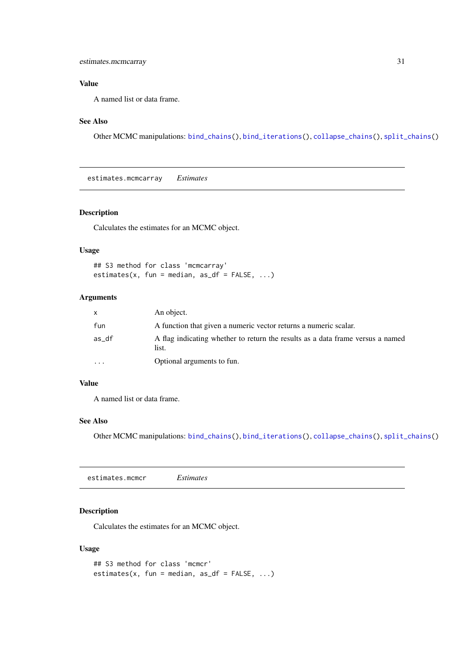# <span id="page-30-0"></span>Value

A named list or data frame.

# See Also

Other MCMC manipulations: [bind\\_chains\(](#page-0-0)), [bind\\_iterations\(](#page-0-0)), [collapse\\_chains\(](#page-0-0)), [split\\_chains\(](#page-0-0))

estimates.mcmcarray *Estimates*

#### Description

Calculates the estimates for an MCMC object.

#### Usage

```
## S3 method for class 'mcmcarray'
estimates(x, fun = median, as_d f = FALSE, ...)
```
#### Arguments

| $\mathsf{X}$ | An object.                                                                              |
|--------------|-----------------------------------------------------------------------------------------|
| fun          | A function that given a numeric vector returns a numeric scalar.                        |
| as_df        | A flag indicating whether to return the results as a data frame versus a named<br>list. |
| .            | Optional arguments to fun.                                                              |

#### Value

A named list or data frame.

#### See Also

Other MCMC manipulations: [bind\\_chains\(](#page-0-0)), [bind\\_iterations\(](#page-0-0)), [collapse\\_chains\(](#page-0-0)), [split\\_chains\(](#page-0-0))

estimates.mcmcr *Estimates*

#### Description

Calculates the estimates for an MCMC object.

# Usage

```
## S3 method for class 'mcmcr'
estimates(x, fun = median, as_df = FALSE, ...)
```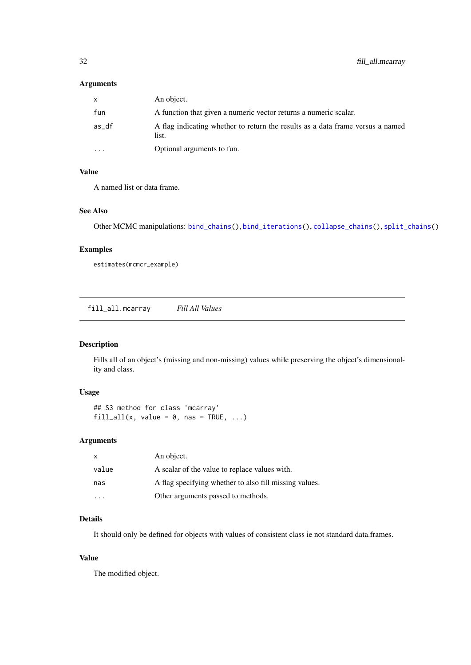# <span id="page-31-0"></span>Arguments

| $\mathsf{x}$ | An object.                                                                              |
|--------------|-----------------------------------------------------------------------------------------|
| fun          | A function that given a numeric vector returns a numeric scalar.                        |
| as_df        | A flag indicating whether to return the results as a data frame versus a named<br>list. |
| $\cdot$      | Optional arguments to fun.                                                              |

# Value

A named list or data frame.

#### See Also

Other MCMC manipulations: [bind\\_chains\(](#page-0-0)), [bind\\_iterations\(](#page-0-0)), [collapse\\_chains\(](#page-0-0)), [split\\_chains\(](#page-0-0))

#### Examples

estimates(mcmcr\_example)

fill\_all.mcarray *Fill All Values*

# Description

Fills all of an object's (missing and non-missing) values while preserving the object's dimensionality and class.

#### Usage

```
## S3 method for class 'mcarray'
fill\_all(x, value = 0, nas = TRUE, ...)
```
#### Arguments

| x     | An object.                                             |
|-------|--------------------------------------------------------|
| value | A scalar of the value to replace values with.          |
| nas   | A flag specifying whether to also fill missing values. |
|       | Other arguments passed to methods.                     |

# Details

It should only be defined for objects with values of consistent class ie not standard data.frames.

# Value

The modified object.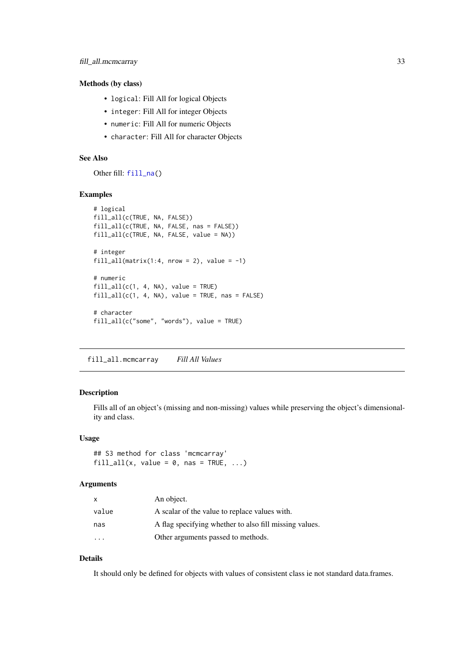#### <span id="page-32-0"></span>Methods (by class)

- logical: Fill All for logical Objects
- integer: Fill All for integer Objects
- numeric: Fill All for numeric Objects
- character: Fill All for character Objects

#### See Also

Other fill: [fill\\_na\(](#page-0-0))

#### Examples

```
# logical
fill_all(c(TRUE, NA, FALSE))
fill_all(c(TRUE, NA, FALSE, nas = FALSE))
fill_all(c(TRUE, NA, FALSE, value = NA))
# integer
fill_all(matrix(1:4, nrow = 2), value = -1)
# numeric
fill\_all(c(1, 4, NA), value = TRUE)fill\_all(c(1, 4, NA), value = TRUE, nas = FALSE)# character
fill_all(c("some", "words"), value = TRUE)
```
fill\_all.mcmcarray *Fill All Values*

#### Description

Fills all of an object's (missing and non-missing) values while preserving the object's dimensionality and class.

#### Usage

```
## S3 method for class 'mcmcarray'
fill_all(x, value = 0, nas = TRUE, ...)
```
#### Arguments

| x                       | An object.                                             |
|-------------------------|--------------------------------------------------------|
| value                   | A scalar of the value to replace values with.          |
| nas                     | A flag specifying whether to also fill missing values. |
| $\cdot$ $\cdot$ $\cdot$ | Other arguments passed to methods.                     |

# Details

It should only be defined for objects with values of consistent class ie not standard data.frames.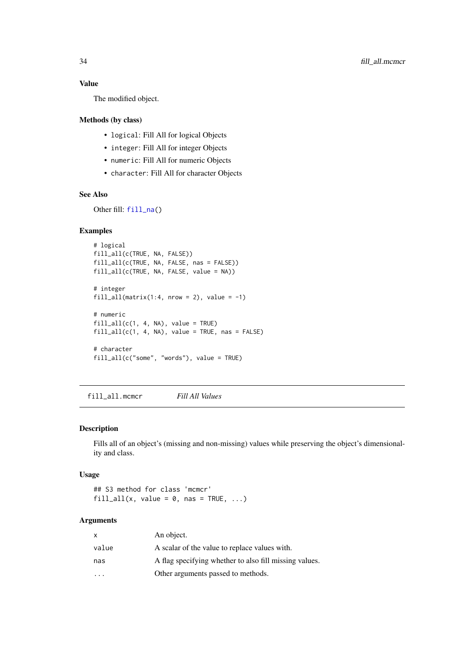# Value

The modified object.

# Methods (by class)

- logical: Fill All for logical Objects
- integer: Fill All for integer Objects
- numeric: Fill All for numeric Objects
- character: Fill All for character Objects

#### See Also

Other fill: [fill\\_na\(](#page-0-0))

#### Examples

```
# logical
fill_all(c(TRUE, NA, FALSE))
fill_all(c(TRUE, NA, FALSE, nas = FALSE))
fill_all(c(TRUE, NA, FALSE, value = NA))
# integer
fill_all(matrix(1:4, nrow = 2), value = -1)
# numeric
fill\_all(c(1, 4, NA), value = TRUE)fill\_all(c(1, 4, NA), value = TRUE, nas = FALSE)# character
fill_all(c("some", "words"), value = TRUE)
```
fill\_all.mcmcr *Fill All Values*

#### Description

Fills all of an object's (missing and non-missing) values while preserving the object's dimensionality and class.

#### Usage

```
## S3 method for class 'mcmcr'
fill_all(x, value = 0, nas = TRUE, ...)
```

| $\mathsf{x}$ | An object.                                             |
|--------------|--------------------------------------------------------|
| value        | A scalar of the value to replace values with.          |
| nas          | A flag specifying whether to also fill missing values. |
|              | Other arguments passed to methods.                     |

<span id="page-33-0"></span>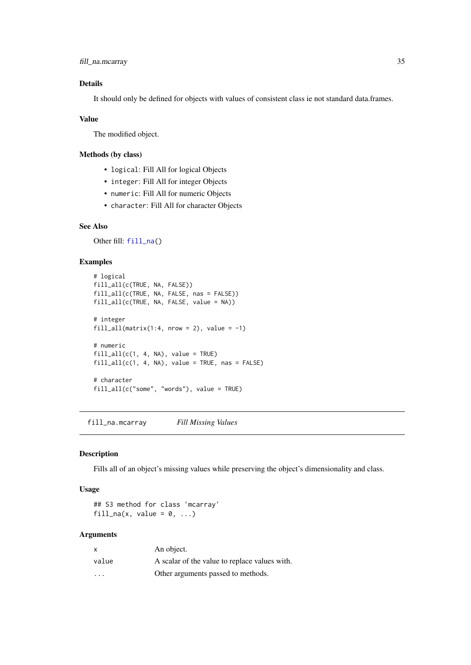```
fill_na.mcarray 35
```
#### Details

It should only be defined for objects with values of consistent class ie not standard data.frames.

# Value

The modified object.

#### Methods (by class)

- logical: Fill All for logical Objects
- integer: Fill All for integer Objects
- numeric: Fill All for numeric Objects
- character: Fill All for character Objects

#### See Also

Other fill: [fill\\_na\(](#page-0-0))

# Examples

```
# logical
fill_all(c(TRUE, NA, FALSE))
fill_all(c(TRUE, NA, FALSE, nas = FALSE))
fill_all(c(TRUE, NA, FALSE, value = NA))
# integer
fill_all(matrix(1:4, nrow = 2), value = -1)
# numeric
fill\_all(c(1, 4, NA), value = TRUE)fill\_all(c(1, 4, NA), value = TRUE, nas = FALSE)# character
fill_all(c("some", "words"), value = TRUE)
```
fill\_na.mcarray *Fill Missing Values*

#### Description

Fills all of an object's missing values while preserving the object's dimensionality and class.

#### Usage

## S3 method for class 'mcarray' fill\_na(x, value =  $0, ...$ )

| X                       | An object.                                    |
|-------------------------|-----------------------------------------------|
| value                   | A scalar of the value to replace values with. |
| $\cdot$ $\cdot$ $\cdot$ | Other arguments passed to methods.            |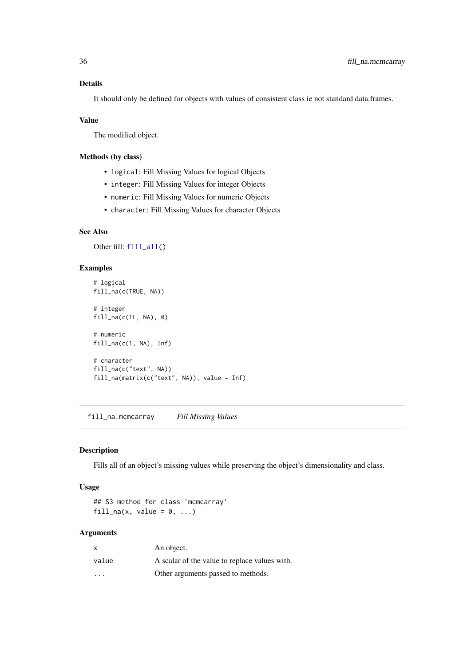# <span id="page-35-0"></span>Details

It should only be defined for objects with values of consistent class ie not standard data.frames.

#### Value

The modified object.

# Methods (by class)

- logical: Fill Missing Values for logical Objects
- integer: Fill Missing Values for integer Objects
- numeric: Fill Missing Values for numeric Objects
- character: Fill Missing Values for character Objects

#### See Also

Other fill: [fill\\_all\(](#page-0-0))

#### Examples

```
# logical
fill_na(c(TRUE, NA))
# integer
fill_na(c(1L, NA), 0)
# numeric
fill_na(c(1, NA), Inf)
# character
fill_na(c("text", NA))
fill_na(matrix(c("text", NA)), value = Inf)
```
fill\_na.mcmcarray *Fill Missing Values*

#### Description

Fills all of an object's missing values while preserving the object's dimensionality and class.

# Usage

## S3 method for class 'mcmcarray' fill\_na(x, value =  $0, ...$ )

| $\mathsf{x}$            | An object.                                    |
|-------------------------|-----------------------------------------------|
| value                   | A scalar of the value to replace values with. |
| $\cdot$ $\cdot$ $\cdot$ | Other arguments passed to methods.            |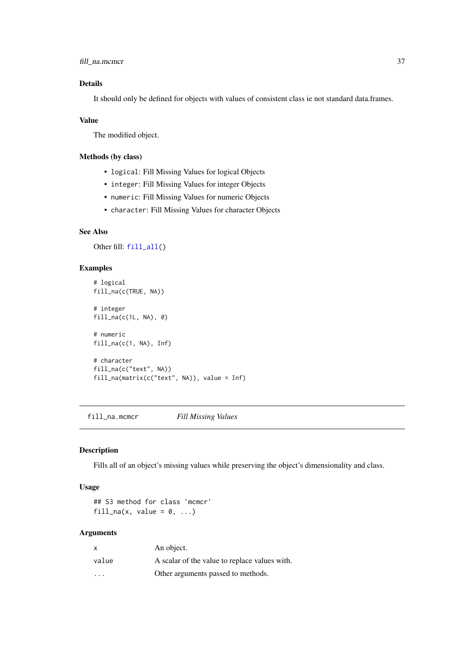<span id="page-36-0"></span>fill\_na.mcmcr 37

#### Details

It should only be defined for objects with values of consistent class ie not standard data.frames.

#### Value

The modified object.

#### Methods (by class)

- logical: Fill Missing Values for logical Objects
- integer: Fill Missing Values for integer Objects
- numeric: Fill Missing Values for numeric Objects
- character: Fill Missing Values for character Objects

#### See Also

Other fill: [fill\\_all\(](#page-0-0))

# Examples

```
# logical
fill_na(c(TRUE, NA))
# integer
fill_na(c(1L, NA), 0)
# numeric
fill_na(c(1, NA), Inf)
# character
fill_na(c("text", NA))
fill_na(matrix(c("text", NA)), value = Inf)
```
fill\_na.mcmcr *Fill Missing Values*

#### Description

Fills all of an object's missing values while preserving the object's dimensionality and class.

# Usage

```
## S3 method for class 'mcmcr'
fill_na(x, value = 0, ...)
```

| X                       | An object.                                    |
|-------------------------|-----------------------------------------------|
| value                   | A scalar of the value to replace values with. |
| $\cdot$ $\cdot$ $\cdot$ | Other arguments passed to methods.            |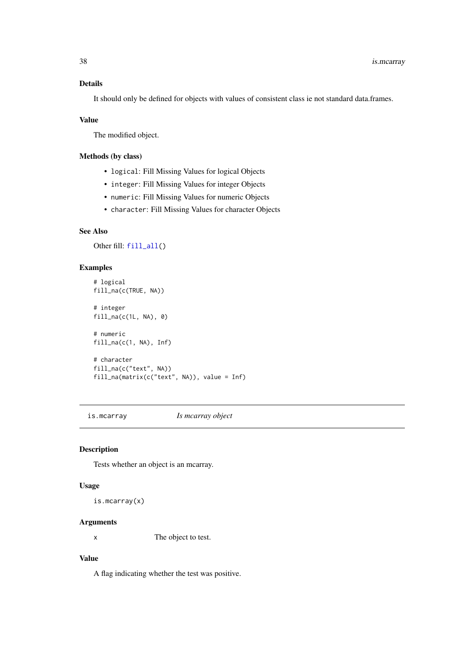# <span id="page-37-0"></span>Details

It should only be defined for objects with values of consistent class ie not standard data.frames.

#### Value

The modified object.

#### Methods (by class)

- logical: Fill Missing Values for logical Objects
- integer: Fill Missing Values for integer Objects
- numeric: Fill Missing Values for numeric Objects
- character: Fill Missing Values for character Objects

# See Also

Other fill: [fill\\_all\(](#page-0-0))

#### Examples

```
# logical
fill_na(c(TRUE, NA))
# integer
fill\_na(c(1L, NA), 0)# numeric
fill_na(c(1, NA), Inf)
# character
fill_na(c("text", NA))
fill_na(matrix(c("text", NA)), value = Inf)
```
<span id="page-37-1"></span>is.mcarray *Is mcarray object*

#### Description

Tests whether an object is an mcarray.

#### Usage

is.mcarray(x)

#### Arguments

x The object to test.

# Value

A flag indicating whether the test was positive.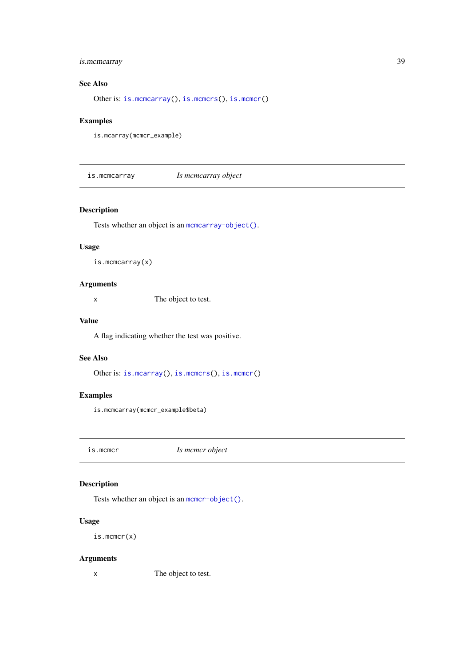#### <span id="page-38-0"></span>is.mcmcarray 39

#### See Also

Other is: [is.mcmcarray\(](#page-38-1)), [is.mcmcrs\(](#page-39-1)), [is.mcmcr\(](#page-38-2))

#### Examples

is.mcarray(mcmcr\_example)

<span id="page-38-1"></span>is.mcmcarray *Is mcmcarray object*

#### Description

Tests whether an object is an [mcmcarray-object\(\)](#page-40-1).

# Usage

is.mcmcarray(x)

# Arguments

x The object to test.

#### Value

A flag indicating whether the test was positive.

# See Also

Other is: [is.mcarray\(](#page-37-1)), [is.mcmcrs\(](#page-39-1)), [is.mcmcr\(](#page-38-2))

# Examples

is.mcmcarray(mcmcr\_example\$beta)

<span id="page-38-2"></span>is.mcmcr *Is mcmcr object*

# Description

Tests whether an object is an [mcmcr-object\(\)](#page-40-2).

#### Usage

is.mcmcr(x)

#### Arguments

x The object to test.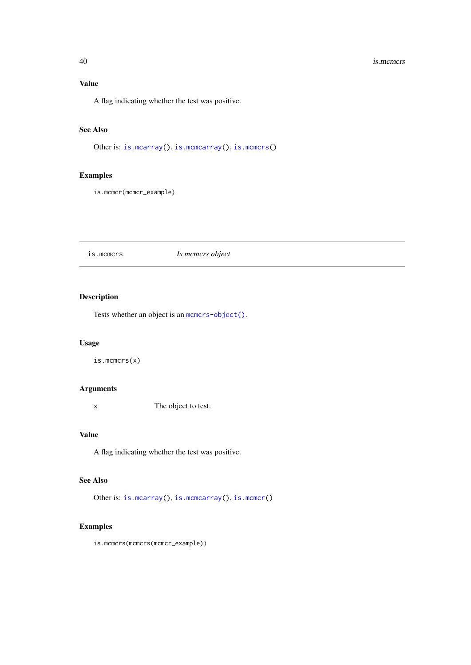#### <span id="page-39-0"></span>40 is.mcmcrs

# Value

A flag indicating whether the test was positive.

# See Also

Other is: [is.mcarray\(](#page-37-1)), [is.mcmcarray\(](#page-38-1)), [is.mcmcrs\(](#page-39-1))

# Examples

is.mcmcr(mcmcr\_example)

<span id="page-39-1"></span>is.mcmcrs *Is mcmcrs object*

#### Description

Tests whether an object is an [mcmcrs-object\(\)](#page-41-2).

# Usage

is.mcmcrs(x)

# Arguments

x The object to test.

#### Value

A flag indicating whether the test was positive.

# See Also

Other is: [is.mcarray\(](#page-37-1)), [is.mcmcarray\(](#page-38-1)), [is.mcmcr\(](#page-38-2))

# Examples

is.mcmcrs(mcmcrs(mcmcr\_example))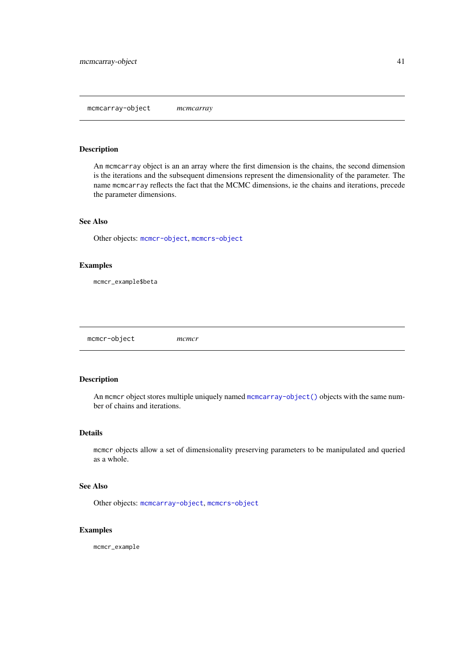<span id="page-40-1"></span><span id="page-40-0"></span>mcmcarray-object *mcmcarray*

#### Description

An mcmcarray object is an an array where the first dimension is the chains, the second dimension is the iterations and the subsequent dimensions represent the dimensionality of the parameter. The name mcmcarray reflects the fact that the MCMC dimensions, ie the chains and iterations, precede the parameter dimensions.

# See Also

Other objects: [mcmcr-object](#page-40-2), [mcmcrs-object](#page-41-2)

#### Examples

mcmcr\_example\$beta

<span id="page-40-2"></span>mcmcr-object *mcmcr*

#### Description

An mcmcr object stores multiple uniquely named [mcmcarray-object\(\)](#page-40-1) objects with the same number of chains and iterations.

#### Details

mcmcr objects allow a set of dimensionality preserving parameters to be manipulated and queried as a whole.

#### See Also

Other objects: [mcmcarray-object](#page-40-1), [mcmcrs-object](#page-41-2)

#### Examples

mcmcr\_example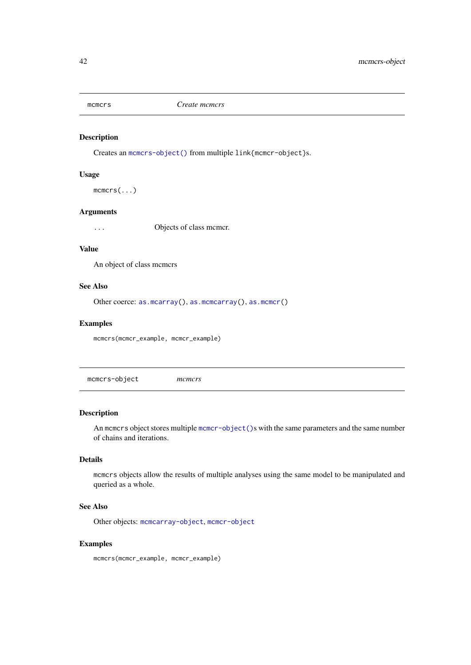<span id="page-41-1"></span><span id="page-41-0"></span>

Creates an [mcmcrs-object\(\)](#page-41-2) from multiple link{mcmcr-object}s.

#### Usage

mcmcrs(...)

# Arguments

... Objects of class mcmcr.

# Value

An object of class mcmcrs

#### See Also

Other coerce: [as.mcarray\(](#page-3-1)), [as.mcmcarray\(](#page-6-1)), [as.mcmcr\(](#page-7-1))

#### Examples

mcmcrs(mcmcr\_example, mcmcr\_example)

<span id="page-41-2"></span>mcmcrs-object *mcmcrs*

#### Description

An memers object stores multiple memer-object ()s with the same parameters and the same number of chains and iterations.

#### Details

mcmcrs objects allow the results of multiple analyses using the same model to be manipulated and queried as a whole.

#### See Also

Other objects: [mcmcarray-object](#page-40-1), [mcmcr-object](#page-40-2)

#### Examples

mcmcrs(mcmcr\_example, mcmcr\_example)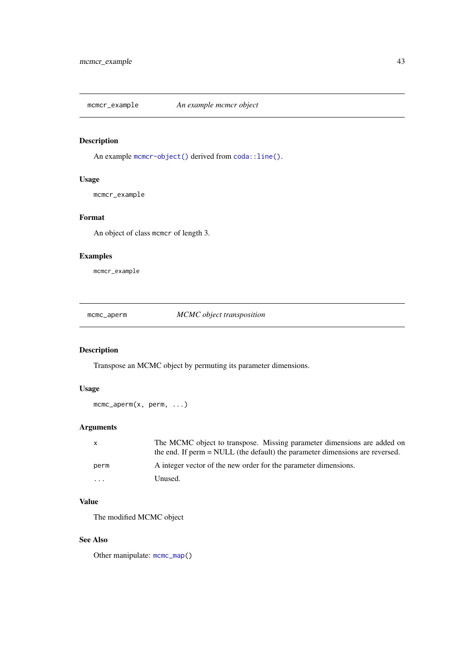<span id="page-42-0"></span>mcmcr\_example *An example mcmcr object*

#### Description

An example [mcmcr-object\(\)](#page-40-2) derived from [coda::line\(\)](#page-0-0).

#### Usage

mcmcr\_example

#### Format

An object of class mcmcr of length 3.

# Examples

mcmcr\_example

<span id="page-42-1"></span>mcmc\_aperm *MCMC object transposition*

# Description

Transpose an MCMC object by permuting its parameter dimensions.

# Usage

mcmc\_aperm(x, perm, ...)

# Arguments

| X    | The MCMC object to transpose. Missing parameter dimensions are added on<br>the end. If perm = NULL (the default) the parameter dimensions are reversed. |
|------|---------------------------------------------------------------------------------------------------------------------------------------------------------|
| perm | A integer vector of the new order for the parameter dimensions.                                                                                         |
| .    | Unused.                                                                                                                                                 |

# Value

The modified MCMC object

# See Also

Other manipulate: [mcmc\\_map\(](#page-43-1))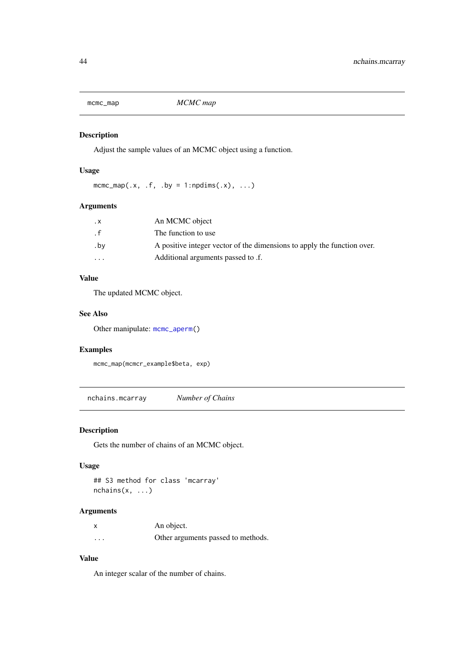<span id="page-43-1"></span><span id="page-43-0"></span>

Adjust the sample values of an MCMC object using a function.

# Usage

```
mcmc_map(.x, .f, .by = 1:npdims(.x), ...)
```
#### Arguments

| $\cdot$ X               | An MCMC object                                                          |
|-------------------------|-------------------------------------------------------------------------|
| $\cdot$ f               | The function to use                                                     |
| .bv                     | A positive integer vector of the dimensions to apply the function over. |
| $\cdot$ $\cdot$ $\cdot$ | Additional arguments passed to .f.                                      |

# Value

The updated MCMC object.

#### See Also

Other manipulate: [mcmc\\_aperm\(](#page-42-1))

#### Examples

mcmc\_map(mcmcr\_example\$beta, exp)

nchains.mcarray *Number of Chains*

# Description

Gets the number of chains of an MCMC object.

# Usage

```
## S3 method for class 'mcarray'
nchains(x, ...)
```
# Arguments

|          | An object.                         |
|----------|------------------------------------|
| $\cdots$ | Other arguments passed to methods. |

# Value

An integer scalar of the number of chains.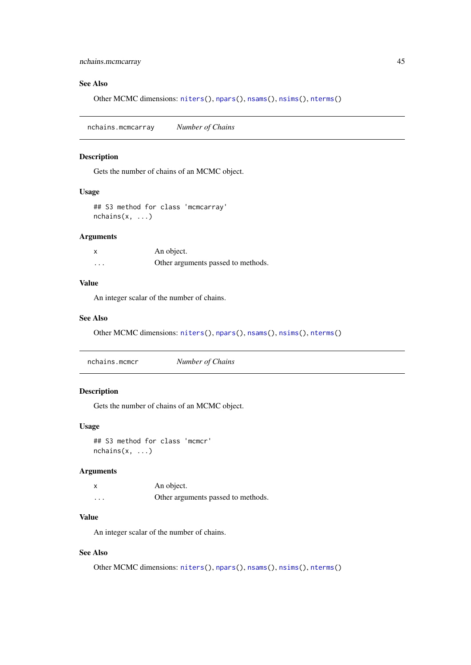#### <span id="page-44-0"></span>See Also

Other MCMC dimensions: [niters\(](#page-0-0)), [npars\(](#page-0-0)), [nsams\(](#page-0-0)), [nsims\(](#page-0-0)), [nterms\(](#page-0-0))

nchains.mcmcarray *Number of Chains*

#### Description

Gets the number of chains of an MCMC object.

#### Usage

```
## S3 method for class 'mcmcarray'
nchains(x, \ldots)
```
#### Arguments

| X        | An object.                         |
|----------|------------------------------------|
| $\cdots$ | Other arguments passed to methods. |

# Value

An integer scalar of the number of chains.

#### See Also

Other MCMC dimensions: [niters\(](#page-0-0)), [npars\(](#page-0-0)), [nsams\(](#page-0-0)), [nsims\(](#page-0-0)), [nterms\(](#page-0-0))

# Description

Gets the number of chains of an MCMC object.

#### Usage

## S3 method for class 'mcmcr'  $nchains(x, \ldots)$ 

#### Arguments

x An object. ... Other arguments passed to methods.

# Value

An integer scalar of the number of chains.

#### See Also

Other MCMC dimensions: [niters\(](#page-0-0)), [npars\(](#page-0-0)), [nsams\(](#page-0-0)), [nsims\(](#page-0-0)), [nterms\(](#page-0-0))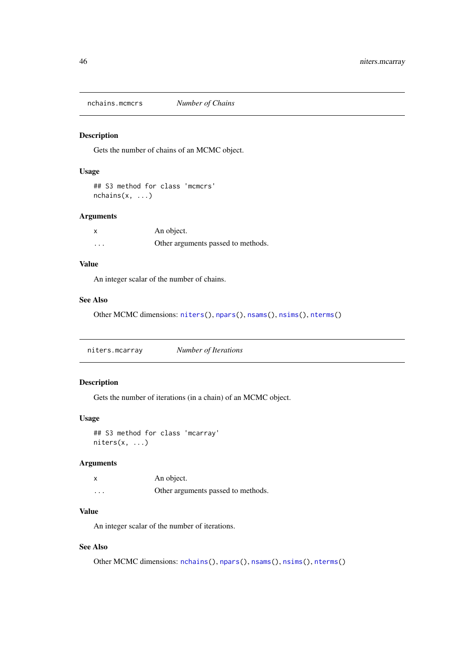<span id="page-45-0"></span>nchains.mcmcrs *Number of Chains*

#### Description

Gets the number of chains of an MCMC object.

## Usage

```
## S3 method for class 'mcmcrs'
nchains(x, ...)
```
#### Arguments

| x        | An object.                         |
|----------|------------------------------------|
| $\cdots$ | Other arguments passed to methods. |

# Value

An integer scalar of the number of chains.

# See Also

Other MCMC dimensions: [niters\(](#page-0-0)), [npars\(](#page-0-0)), [nsams\(](#page-0-0)), [nsims\(](#page-0-0)), [nterms\(](#page-0-0))

niters.mcarray *Number of Iterations*

#### Description

Gets the number of iterations (in a chain) of an MCMC object.

#### Usage

```
## S3 method for class 'mcarray'
niters(x, ...)
```
# Arguments

| X        | An object.                         |
|----------|------------------------------------|
| $\cdots$ | Other arguments passed to methods. |

# Value

An integer scalar of the number of iterations.

#### See Also

Other MCMC dimensions: [nchains\(](#page-0-0)), [npars\(](#page-0-0)), [nsams\(](#page-0-0)), [nsims\(](#page-0-0)), [nterms\(](#page-0-0))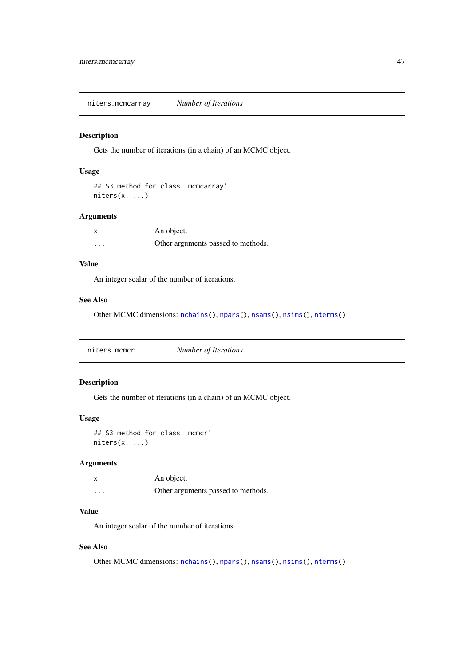<span id="page-46-0"></span>niters.mcmcarray *Number of Iterations*

#### Description

Gets the number of iterations (in a chain) of an MCMC object.

# Usage

```
## S3 method for class 'mcmcarray'
niters(x, ...)
```
#### Arguments

|          | An object.                         |
|----------|------------------------------------|
| $\cdots$ | Other arguments passed to methods. |

# Value

An integer scalar of the number of iterations.

# See Also

Other MCMC dimensions: [nchains\(](#page-0-0)), [npars\(](#page-0-0)), [nsams\(](#page-0-0)), [nsims\(](#page-0-0)), [nterms\(](#page-0-0))

|--|--|

#### Description

Gets the number of iterations (in a chain) of an MCMC object.

#### Usage

```
## S3 method for class 'mcmcr'
niters(x, ...)
```
# Arguments

| x                 | An object.                         |
|-------------------|------------------------------------|
| $\cdot\cdot\cdot$ | Other arguments passed to methods. |

# Value

An integer scalar of the number of iterations.

### See Also

Other MCMC dimensions: [nchains\(](#page-0-0)), [npars\(](#page-0-0)), [nsams\(](#page-0-0)), [nsims\(](#page-0-0)), [nterms\(](#page-0-0))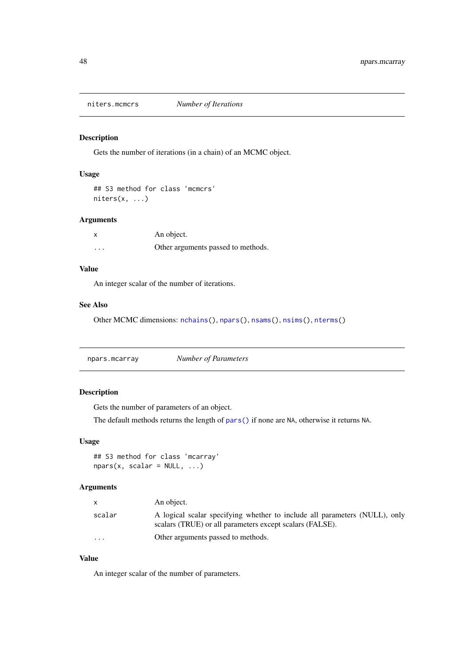<span id="page-47-0"></span>

Gets the number of iterations (in a chain) of an MCMC object.

# Usage

```
## S3 method for class 'mcmcrs'
niters(x, ...)
```
#### Arguments

| X        | An object.                         |
|----------|------------------------------------|
| $\cdots$ | Other arguments passed to methods. |

# Value

An integer scalar of the number of iterations.

#### See Also

Other MCMC dimensions: [nchains\(](#page-0-0)), [npars\(](#page-0-0)), [nsams\(](#page-0-0)), [nsims\(](#page-0-0)), [nterms\(](#page-0-0))

npars.mcarray *Number of Parameters*

#### Description

Gets the number of parameters of an object.

The default methods returns the length of [pars\(\)](#page-0-0) if none are NA, otherwise it returns NA.

#### Usage

```
## S3 method for class 'mcarray'
nparse(x, scalar = NULL, ...)
```
#### Arguments

|          | An object.                                                                                                                             |
|----------|----------------------------------------------------------------------------------------------------------------------------------------|
| scalar   | A logical scalar specifying whether to include all parameters (NULL), only<br>scalars (TRUE) or all parameters except scalars (FALSE). |
| $\cdots$ | Other arguments passed to methods.                                                                                                     |

# Value

An integer scalar of the number of parameters.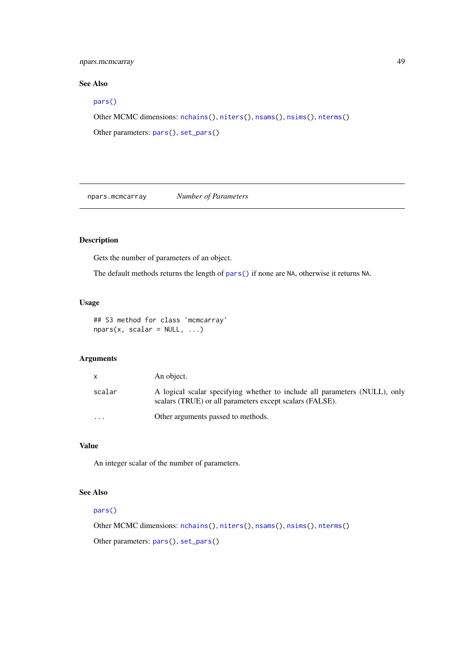#### <span id="page-48-0"></span>npars.mcmcarray 49

#### See Also

#### [pars\(\)](#page-0-0)

```
Other MCMC dimensions: nchains(), niters(), nsams(), nsims(), nterms()
```

```
Other parameters: pars(), set_pars()
```
npars.mcmcarray *Number of Parameters*

# Description

Gets the number of parameters of an object.

The default methods returns the length of [pars\(\)](#page-0-0) if none are NA, otherwise it returns NA.

#### Usage

```
## S3 method for class 'mcmcarray'
nparse(x, scalar = NULL, ...)
```
#### Arguments

| X        | An object.                                                                                                                             |
|----------|----------------------------------------------------------------------------------------------------------------------------------------|
| scalar   | A logical scalar specifying whether to include all parameters (NULL), only<br>scalars (TRUE) or all parameters except scalars (FALSE). |
| $\cdots$ | Other arguments passed to methods.                                                                                                     |

#### Value

An integer scalar of the number of parameters.

# See Also

## [pars\(\)](#page-0-0)

```
Other MCMC dimensions: nchains(), niters(), nsams(), nsims(), nterms()
Other parameters: pars(), set_pars()
```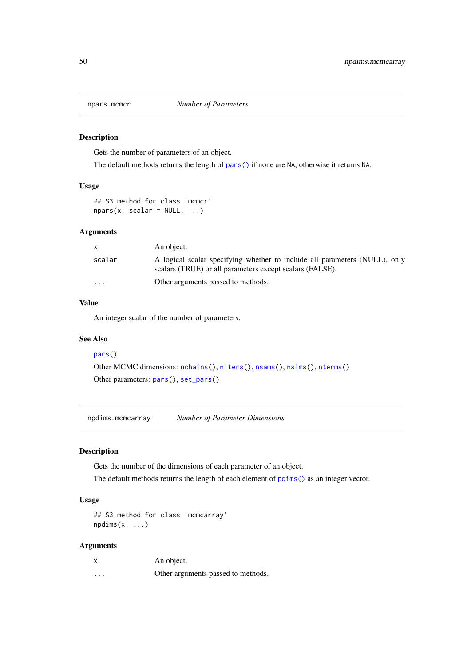<span id="page-49-0"></span>

Gets the number of parameters of an object.

The default methods returns the length of [pars\(\)](#page-0-0) if none are NA, otherwise it returns NA.

# Usage

```
## S3 method for class 'mcmcr'
nparse(x, scalar = NULL, ...)
```
#### Arguments

|                         | An object.                                                                                                                             |
|-------------------------|----------------------------------------------------------------------------------------------------------------------------------------|
| scalar                  | A logical scalar specifying whether to include all parameters (NULL), only<br>scalars (TRUE) or all parameters except scalars (FALSE). |
| $\cdot$ $\cdot$ $\cdot$ | Other arguments passed to methods.                                                                                                     |

# Value

An integer scalar of the number of parameters.

#### See Also

#### [pars\(\)](#page-0-0)

Other MCMC dimensions: [nchains\(](#page-0-0)), [niters\(](#page-0-0)), [nsams\(](#page-0-0)), [nsims\(](#page-0-0)), [nterms\(](#page-0-0)) Other parameters: [pars\(](#page-0-0)), [set\\_pars\(](#page-0-0))

npdims.mcmcarray *Number of Parameter Dimensions*

#### Description

Gets the number of the dimensions of each parameter of an object.

The default methods returns the length of each element of [pdims\(\)](#page-0-0) as an integer vector.

## Usage

## S3 method for class 'mcmcarray'  $n$ pdims $(x, \ldots)$ 

| X        | An object.                         |
|----------|------------------------------------|
| $\cdots$ | Other arguments passed to methods. |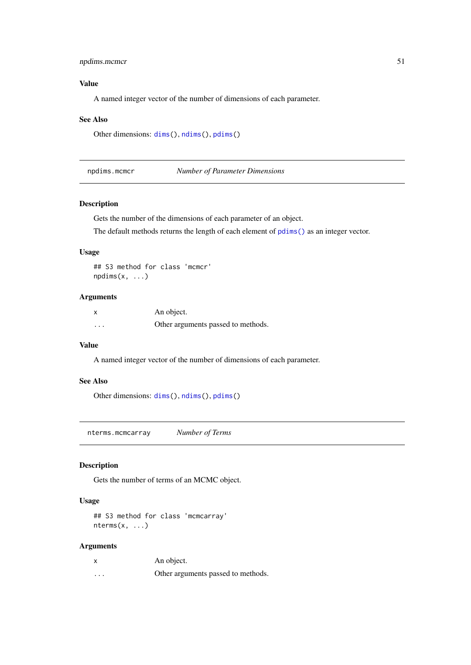#### <span id="page-50-0"></span>npdims.mcmcr 51

# Value

A named integer vector of the number of dimensions of each parameter.

#### See Also

```
Other dimensions: dims(), ndims(), pdims()
```
npdims.mcmcr *Number of Parameter Dimensions*

#### Description

Gets the number of the dimensions of each parameter of an object.

The default methods returns the length of each element of [pdims\(\)](#page-0-0) as an integer vector.

#### Usage

```
## S3 method for class 'mcmcr'
npdims(x, \ldots)
```
#### Arguments

| X        | An object.                         |
|----------|------------------------------------|
| $\cdots$ | Other arguments passed to methods. |

# Value

A named integer vector of the number of dimensions of each parameter.

#### See Also

Other dimensions: [dims\(](#page-0-0)), [ndims\(](#page-0-0)), [pdims\(](#page-0-0))

nterms.mcmcarray *Number of Terms*

#### Description

Gets the number of terms of an MCMC object.

# Usage

```
## S3 method for class 'mcmcarray'
nterms(x, ...)
```

| X        | An object.                         |
|----------|------------------------------------|
| $\cdots$ | Other arguments passed to methods. |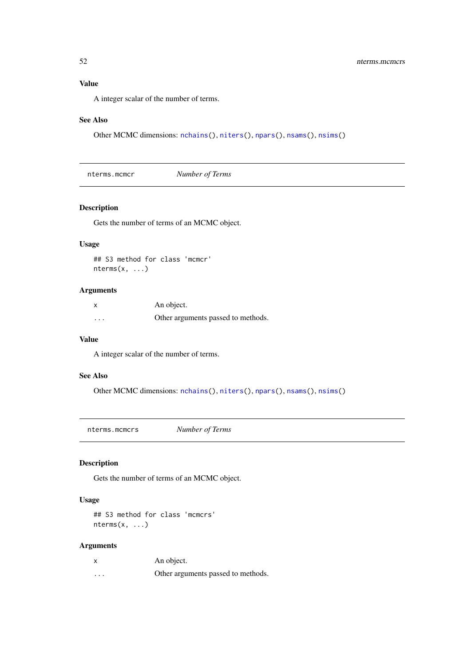#### Value

A integer scalar of the number of terms.

#### See Also

Other MCMC dimensions: [nchains\(](#page-0-0)), [niters\(](#page-0-0)), [npars\(](#page-0-0)), [nsams\(](#page-0-0)), [nsims\(](#page-0-0))

nterms.mcmcr *Number of Terms*

#### Description

Gets the number of terms of an MCMC object.

#### Usage

```
## S3 method for class 'mcmcr'
nterms(x, ...)
```
# Arguments

| X        | An object.                         |
|----------|------------------------------------|
| $\cdots$ | Other arguments passed to methods. |

#### Value

A integer scalar of the number of terms.

# See Also

```
Other MCMC dimensions: nchains(), niters(), npars(), nsams(), nsims()
```
nterms.mcmcrs *Number of Terms*

# Description

Gets the number of terms of an MCMC object.

# Usage

```
## S3 method for class 'mcmcrs'
nterms(x, ...)
```

| X        | An object.                         |
|----------|------------------------------------|
| $\cdots$ | Other arguments passed to methods. |

<span id="page-51-0"></span>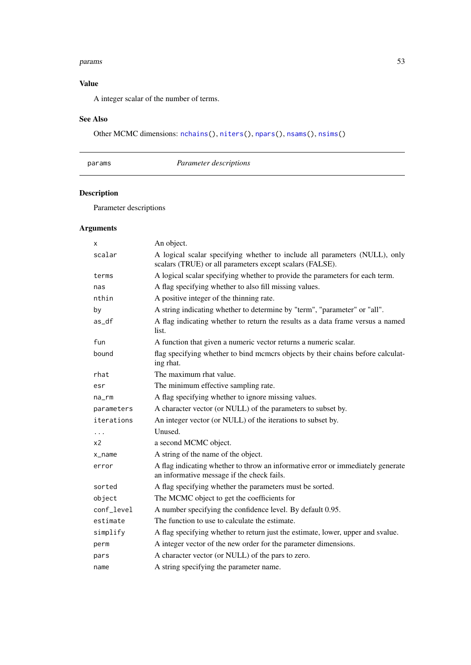#### <span id="page-52-0"></span>params 53

# Value

A integer scalar of the number of terms.

# See Also

Other MCMC dimensions: [nchains\(](#page-0-0)), [niters\(](#page-0-0)), [npars\(](#page-0-0)), [nsams\(](#page-0-0)), [nsims\(](#page-0-0))

# params *Parameter descriptions*

# Description

Parameter descriptions

| x                   | An object.                                                                                                                             |
|---------------------|----------------------------------------------------------------------------------------------------------------------------------------|
| scalar              | A logical scalar specifying whether to include all parameters (NULL), only<br>scalars (TRUE) or all parameters except scalars (FALSE). |
| terms               | A logical scalar specifying whether to provide the parameters for each term.                                                           |
| nas                 | A flag specifying whether to also fill missing values.                                                                                 |
| nthin               | A positive integer of the thinning rate.                                                                                               |
| by                  | A string indicating whether to determine by "term", "parameter" or "all".                                                              |
| $as_d$              | A flag indicating whether to return the results as a data frame versus a named<br>list.                                                |
| fun                 | A function that given a numeric vector returns a numeric scalar.                                                                       |
| bound               | flag specifying whether to bind memers objects by their chains before calculat-<br>ing rhat.                                           |
| rhat                | The maximum rhat value.                                                                                                                |
| esr                 | The minimum effective sampling rate.                                                                                                   |
| $na$ _ $rm$         | A flag specifying whether to ignore missing values.                                                                                    |
| parameters          | A character vector (or NULL) of the parameters to subset by.                                                                           |
| iterations          | An integer vector (or NULL) of the iterations to subset by.                                                                            |
| $\cdots$            | Unused.                                                                                                                                |
| x2                  | a second MCMC object.                                                                                                                  |
| $x$ <sub>name</sub> | A string of the name of the object.                                                                                                    |
| error               | A flag indicating whether to throw an informative error or immediately generate<br>an informative message if the check fails.          |
| sorted              | A flag specifying whether the parameters must be sorted.                                                                               |
| object              | The MCMC object to get the coefficients for                                                                                            |
| conf_level          | A number specifying the confidence level. By default 0.95.                                                                             |
| estimate            | The function to use to calculate the estimate.                                                                                         |
| simplify            | A flag specifying whether to return just the estimate, lower, upper and svalue.                                                        |
| perm                | A integer vector of the new order for the parameter dimensions.                                                                        |
| pars                | A character vector (or NULL) of the pars to zero.                                                                                      |
| name                | A string specifying the parameter name.                                                                                                |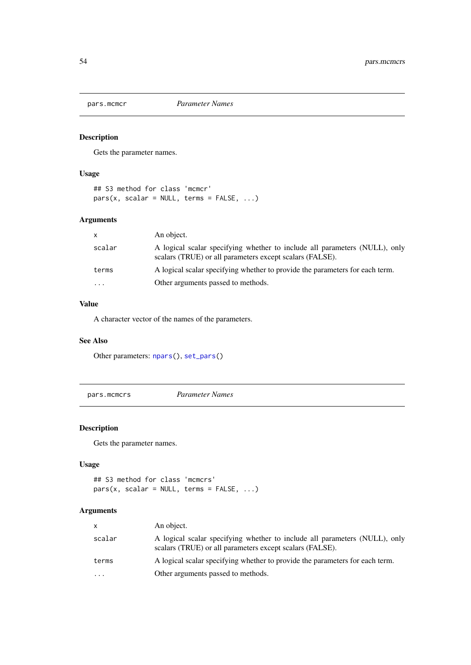<span id="page-53-0"></span>

Gets the parameter names.

#### Usage

```
## S3 method for class 'mcmcr'
pars(x, scalar = NULL, terms = FALSE, ...)
```
# Arguments

| x.        | An object.                                                                                                                             |
|-----------|----------------------------------------------------------------------------------------------------------------------------------------|
| scalar    | A logical scalar specifying whether to include all parameters (NULL), only<br>scalars (TRUE) or all parameters except scalars (FALSE). |
| terms     | A logical scalar specifying whether to provide the parameters for each term.                                                           |
| $\ddotsc$ | Other arguments passed to methods.                                                                                                     |

# Value

A character vector of the names of the parameters.

# See Also

Other parameters: [npars\(](#page-0-0)), [set\\_pars\(](#page-0-0))

pars.mcmcrs *Parameter Names*

# Description

Gets the parameter names.

# Usage

```
## S3 method for class 'mcmcrs'
pars(x, scalar = NULL, terms = FALSE, ...)
```

| $\mathsf{x}$ | An object.                                                                                                                             |
|--------------|----------------------------------------------------------------------------------------------------------------------------------------|
| scalar       | A logical scalar specifying whether to include all parameters (NULL), only<br>scalars (TRUE) or all parameters except scalars (FALSE). |
| terms        | A logical scalar specifying whether to provide the parameters for each term.                                                           |
| $\cdot$      | Other arguments passed to methods.                                                                                                     |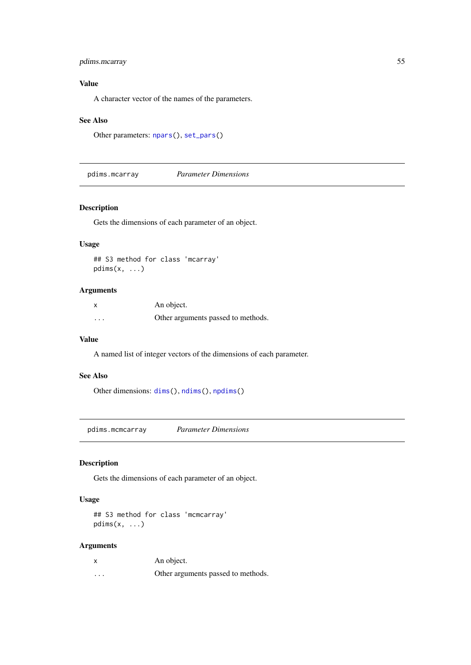#### <span id="page-54-0"></span>pdims.mcarray 55

#### Value

A character vector of the names of the parameters.

#### See Also

```
Other parameters: npars(), set_pars()
```
pdims.mcarray *Parameter Dimensions*

#### Description

Gets the dimensions of each parameter of an object.

#### Usage

## S3 method for class 'mcarray' pdims(x, ...)

#### Arguments

| $\boldsymbol{\mathsf{x}}$ | An object.                         |
|---------------------------|------------------------------------|
| $\cdots$                  | Other arguments passed to methods. |

#### Value

A named list of integer vectors of the dimensions of each parameter.

# See Also

Other dimensions: [dims\(](#page-0-0)), [ndims\(](#page-0-0)), [npdims\(](#page-0-0))

pdims.mcmcarray *Parameter Dimensions*

# Description

Gets the dimensions of each parameter of an object.

# Usage

## S3 method for class 'mcmcarray' pdims $(x, \ldots)$ 

| x                 | An object.                         |
|-------------------|------------------------------------|
| $\cdot\cdot\cdot$ | Other arguments passed to methods. |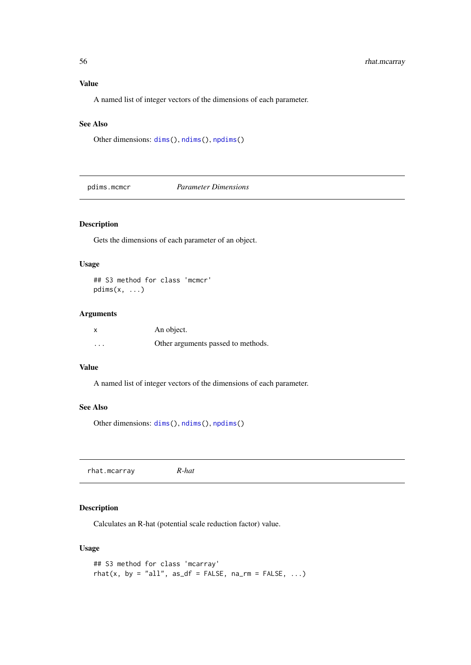#### Value

A named list of integer vectors of the dimensions of each parameter.

#### See Also

Other dimensions: [dims\(](#page-0-0)), [ndims\(](#page-0-0)), [npdims\(](#page-0-0))

pdims.mcmcr *Parameter Dimensions*

#### Description

Gets the dimensions of each parameter of an object.

# Usage

```
## S3 method for class 'mcmcr'
pdims(x, \ldots)
```
#### Arguments

| X        | An object.                         |
|----------|------------------------------------|
| $\cdots$ | Other arguments passed to methods. |

#### Value

A named list of integer vectors of the dimensions of each parameter.

#### See Also

Other dimensions: [dims\(](#page-0-0)), [ndims\(](#page-0-0)), [npdims\(](#page-0-0))

rhat.mcarray *R-hat*

#### Description

Calculates an R-hat (potential scale reduction factor) value.

# Usage

```
## S3 method for class 'mcarray'
rhat(x, by = "all", as_df = FALSE, na_rm = FALSE, \ldots)
```
<span id="page-55-0"></span>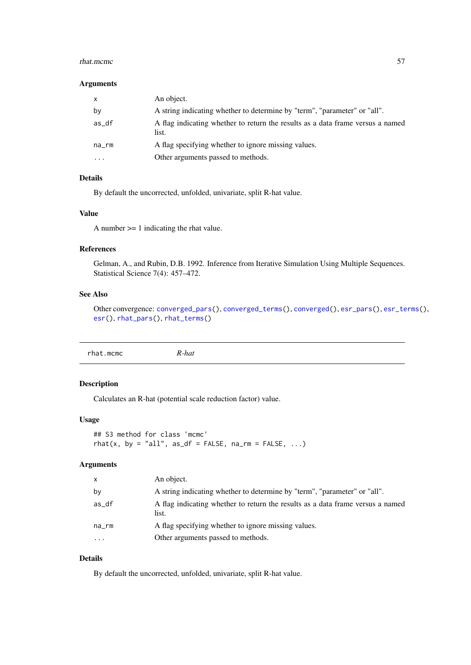#### <span id="page-56-0"></span>rhat.mcmc 57

#### Arguments

| X           | An object.                                                                              |
|-------------|-----------------------------------------------------------------------------------------|
| by          | A string indicating whether to determine by "term", "parameter" or "all".               |
| as_df       | A flag indicating whether to return the results as a data frame versus a named<br>list. |
| $na$ _ $rm$ | A flag specifying whether to ignore missing values.                                     |
| $\ddotsc$   | Other arguments passed to methods.                                                      |

# Details

By default the uncorrected, unfolded, univariate, split R-hat value.

# Value

A number >= 1 indicating the rhat value.

# References

Gelman, A., and Rubin, D.B. 1992. Inference from Iterative Simulation Using Multiple Sequences. Statistical Science 7(4): 457–472.

# See Also

Other convergence: [converged\\_pars\(](#page-0-0)), [converged\\_terms\(](#page-0-0)), [converged\(](#page-0-0)), [esr\\_pars\(](#page-0-0)), [esr\\_terms\(](#page-0-0)), [esr\(](#page-0-0)), [rhat\\_pars\(](#page-0-0)), [rhat\\_terms\(](#page-0-0))

#### Description

Calculates an R-hat (potential scale reduction factor) value.

#### Usage

```
## S3 method for class 'mcmc'
rhat(x, by = "all", as_df = FALSE, na\_rm = FALSE, ...)
```
#### Arguments

| X           | An object.                                                                              |
|-------------|-----------------------------------------------------------------------------------------|
| by          | A string indicating whether to determine by "term", "parameter" or "all".               |
| as_df       | A flag indicating whether to return the results as a data frame versus a named<br>list. |
| $na$ _ $rm$ | A flag specifying whether to ignore missing values.                                     |
| $\cdots$    | Other arguments passed to methods.                                                      |

# Details

By default the uncorrected, unfolded, univariate, split R-hat value.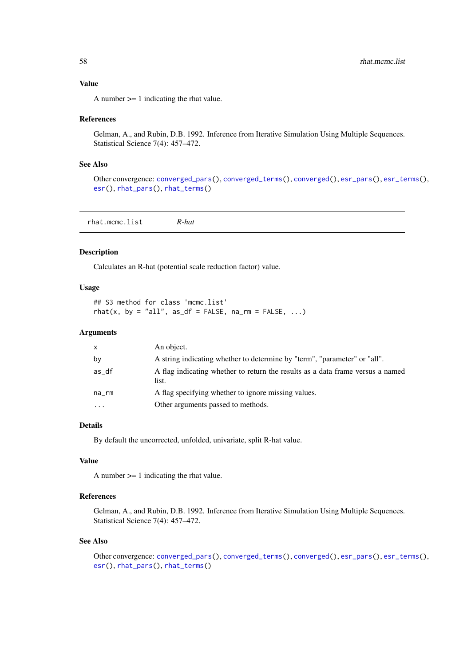#### <span id="page-57-0"></span>Value

A number >= 1 indicating the rhat value.

#### References

Gelman, A., and Rubin, D.B. 1992. Inference from Iterative Simulation Using Multiple Sequences. Statistical Science 7(4): 457–472.

# See Also

Other convergence: [converged\\_pars\(](#page-0-0)), [converged\\_terms\(](#page-0-0)), [converged\(](#page-0-0)), [esr\\_pars\(](#page-0-0)), [esr\\_terms\(](#page-0-0)), [esr\(](#page-0-0)), [rhat\\_pars\(](#page-0-0)), [rhat\\_terms\(](#page-0-0))

rhat.mcmc.list *R-hat*

#### Description

Calculates an R-hat (potential scale reduction factor) value.

#### Usage

```
## S3 method for class 'mcmc.list'
rhat(x, by = "all", as_df = FALSE, na_rm = FALSE, \ldots)
```
#### Arguments

| x         | An object.                                                                              |
|-----------|-----------------------------------------------------------------------------------------|
| by        | A string indicating whether to determine by "term", "parameter" or "all".               |
| as_df     | A flag indicating whether to return the results as a data frame versus a named<br>list. |
| na_rm     | A flag specifying whether to ignore missing values.                                     |
| $\ddotsc$ | Other arguments passed to methods.                                                      |
|           |                                                                                         |

#### Details

By default the uncorrected, unfolded, univariate, split R-hat value.

#### Value

A number >= 1 indicating the rhat value.

## References

Gelman, A., and Rubin, D.B. 1992. Inference from Iterative Simulation Using Multiple Sequences. Statistical Science 7(4): 457–472.

#### See Also

Other convergence: [converged\\_pars\(](#page-0-0)), [converged\\_terms\(](#page-0-0)), [converged\(](#page-0-0)), [esr\\_pars\(](#page-0-0)), [esr\\_terms\(](#page-0-0)), [esr\(](#page-0-0)), [rhat\\_pars\(](#page-0-0)), [rhat\\_terms\(](#page-0-0))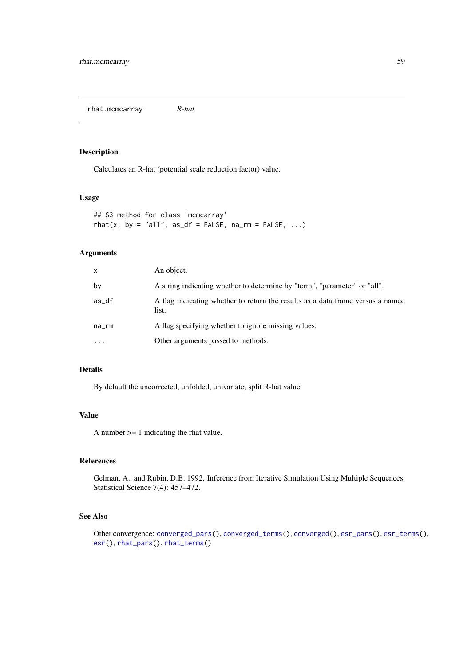<span id="page-58-0"></span>rhat.mcmcarray *R-hat*

# Description

Calculates an R-hat (potential scale reduction factor) value.

#### Usage

## S3 method for class 'mcmcarray' rhat(x, by = "all", as\_df = FALSE,  $na\_rm = FALSE, ...$ )

#### Arguments

| X           | An object.                                                                              |
|-------------|-----------------------------------------------------------------------------------------|
| by          | A string indicating whether to determine by "term", "parameter" or "all".               |
| $as_d$      | A flag indicating whether to return the results as a data frame versus a named<br>list. |
| $na$ _ $rm$ | A flag specifying whether to ignore missing values.                                     |
| $\ddotsc$   | Other arguments passed to methods.                                                      |

# Details

By default the uncorrected, unfolded, univariate, split R-hat value.

#### Value

A number >= 1 indicating the rhat value.

#### References

Gelman, A., and Rubin, D.B. 1992. Inference from Iterative Simulation Using Multiple Sequences. Statistical Science 7(4): 457–472.

#### See Also

```
Other convergence: converged_pars(), converged_terms(), converged(), esr_pars(), esr_terms(),
esr(), rhat_pars(), rhat_terms()
```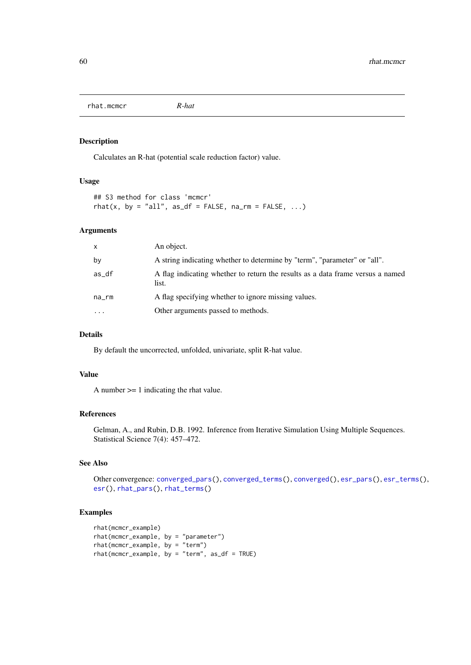<span id="page-59-0"></span>rhat.mcmcr *R-hat*

#### Description

Calculates an R-hat (potential scale reduction factor) value.

#### Usage

```
## S3 method for class 'mcmcr'
rhat(x, by = "all", as_df = FALSE, na\_rm = FALSE, ...)
```
#### Arguments

| X           | An object.                                                                              |
|-------------|-----------------------------------------------------------------------------------------|
| by          | A string indicating whether to determine by "term", "parameter" or "all".               |
| as_df       | A flag indicating whether to return the results as a data frame versus a named<br>list. |
| $na$ _ $rm$ | A flag specifying whether to ignore missing values.                                     |
| $\cdots$    | Other arguments passed to methods.                                                      |

#### Details

By default the uncorrected, unfolded, univariate, split R-hat value.

#### Value

A number >= 1 indicating the rhat value.

#### References

Gelman, A., and Rubin, D.B. 1992. Inference from Iterative Simulation Using Multiple Sequences. Statistical Science 7(4): 457–472.

# See Also

```
Other convergence: converged_pars(), converged_terms(), converged(), esr_pars(), esr_terms(),
esr(), rhat_pars(), rhat_terms()
```
#### Examples

```
rhat(mcmcr_example)
rhat(mcmcr_example, by = "parameter")
rhat(mcmcr_example, by = "term")
rhat(mcmcr_example, by = "term", as_df = TRUE)
```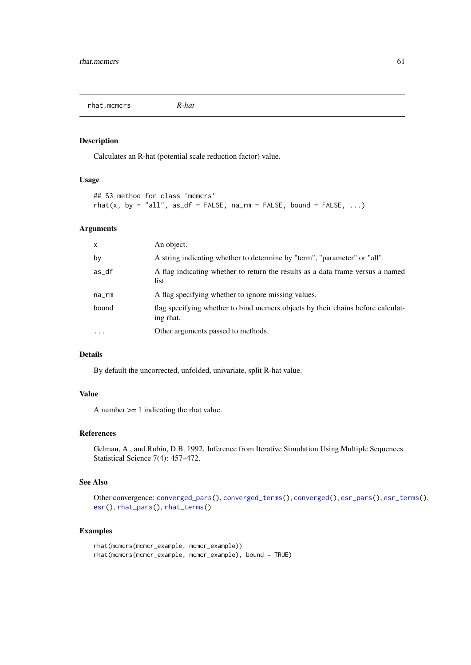<span id="page-60-0"></span>rhat.mcmcrs *R-hat*

#### Description

Calculates an R-hat (potential scale reduction factor) value.

#### Usage

```
## S3 method for class 'mcmcrs'
rhat(x, by = "all", as_df = FALSE, na_rm = FALSE, bound = FALSE, \ldots)
```
# Arguments

| $\mathsf{x}$      | An object.                                                                                   |
|-------------------|----------------------------------------------------------------------------------------------|
| by                | A string indicating whether to determine by "term", "parameter" or "all".                    |
| as_df             | A flag indicating whether to return the results as a data frame versus a named<br>list.      |
| na_rm             | A flag specifying whether to ignore missing values.                                          |
| bound             | flag specifying whether to bind memers objects by their chains before calculat-<br>ing rhat. |
| $\cdot\cdot\cdot$ | Other arguments passed to methods.                                                           |

# Details

By default the uncorrected, unfolded, univariate, split R-hat value.

#### Value

A number >= 1 indicating the rhat value.

#### References

Gelman, A., and Rubin, D.B. 1992. Inference from Iterative Simulation Using Multiple Sequences. Statistical Science 7(4): 457–472.

# See Also

```
Other convergence: converged_pars(), converged_terms(), converged(), esr_pars(), esr_terms(),
esr(), rhat_pars(), rhat_terms()
```
#### Examples

```
rhat(mcmcrs(mcmcr_example, mcmcr_example))
rhat(mcmcrs(mcmcr_example, mcmcr_example), bound = TRUE)
```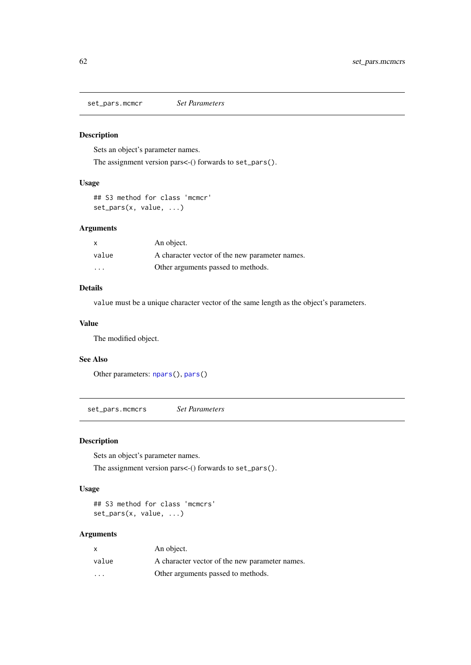<span id="page-61-0"></span>set\_pars.mcmcr *Set Parameters*

#### Description

Sets an object's parameter names.

The assignment version pars<-() forwards to set\_pars().

# Usage

## S3 method for class 'mcmcr' set\_pars(x, value, ...)

#### Arguments

| x       | An object.                                     |
|---------|------------------------------------------------|
| value   | A character vector of the new parameter names. |
| $\cdot$ | Other arguments passed to methods.             |

#### Details

value must be a unique character vector of the same length as the object's parameters.

#### Value

The modified object.

#### See Also

Other parameters: [npars\(](#page-0-0)), [pars\(](#page-0-0))

set\_pars.mcmcrs *Set Parameters*

#### Description

Sets an object's parameter names.

The assignment version pars<-() forwards to set\_pars().

# Usage

## S3 method for class 'mcmcrs' set\_pars(x, value, ...)

| X                       | An object.                                     |
|-------------------------|------------------------------------------------|
| value                   | A character vector of the new parameter names. |
| $\cdot$ $\cdot$ $\cdot$ | Other arguments passed to methods.             |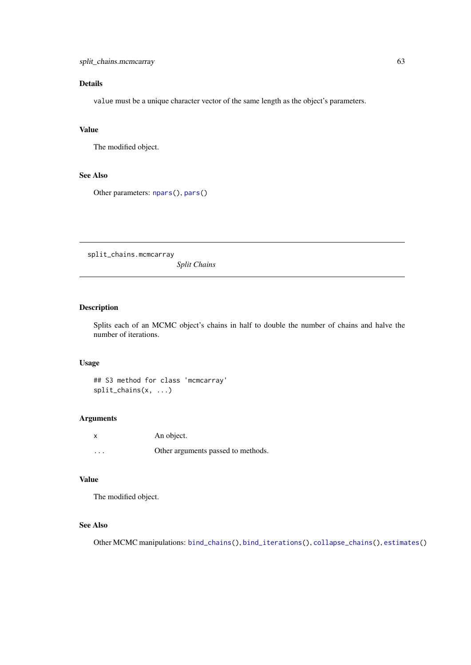#### <span id="page-62-0"></span>Details

value must be a unique character vector of the same length as the object's parameters.

# Value

The modified object.

# See Also

Other parameters: [npars\(](#page-0-0)), [pars\(](#page-0-0))

split\_chains.mcmcarray

*Split Chains*

# Description

Splits each of an MCMC object's chains in half to double the number of chains and halve the number of iterations.

# Usage

```
## S3 method for class 'mcmcarray'
split_chains(x, ...)
```
#### Arguments

| x        | An object.                         |
|----------|------------------------------------|
| $\cdots$ | Other arguments passed to methods. |

# Value

The modified object.

# See Also

Other MCMC manipulations: [bind\\_chains\(](#page-0-0)), [bind\\_iterations\(](#page-0-0)), [collapse\\_chains\(](#page-0-0)), [estimates\(](#page-0-0))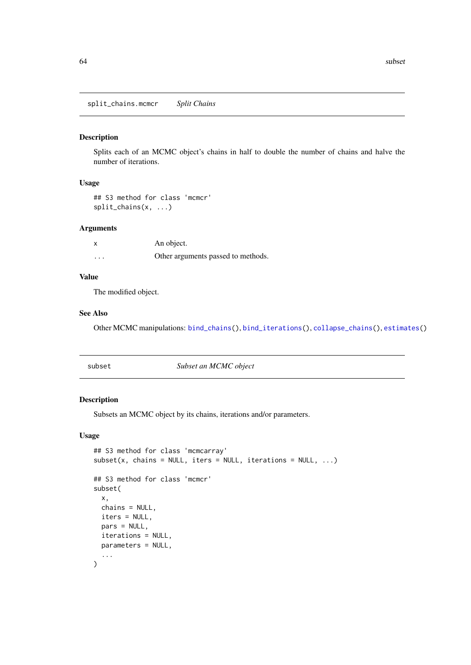<span id="page-63-0"></span>split\_chains.mcmcr *Split Chains*

#### Description

Splits each of an MCMC object's chains in half to double the number of chains and halve the number of iterations.

#### Usage

## S3 method for class 'mcmcr' split\_chains(x, ...)

#### Arguments

|          | An object.                         |
|----------|------------------------------------|
| $\cdots$ | Other arguments passed to methods. |

#### Value

The modified object.

#### See Also

Other MCMC manipulations: [bind\\_chains\(](#page-0-0)), [bind\\_iterations\(](#page-0-0)), [collapse\\_chains\(](#page-0-0)), [estimates\(](#page-0-0))

| subset |  |
|--------|--|

subset *Subset an MCMC object*

#### Description

Subsets an MCMC object by its chains, iterations and/or parameters.

#### Usage

```
## S3 method for class 'mcmcarray'
subset(x, chains = NULL, items = NULL, iterations = NULL, ...)## S3 method for class 'mcmcr'
subset(
  x,
  chains = NULL,
  iters = NULL,
  pars = NULL,
  iterations = NULL,
  parameters = NULL,
  ...
)
```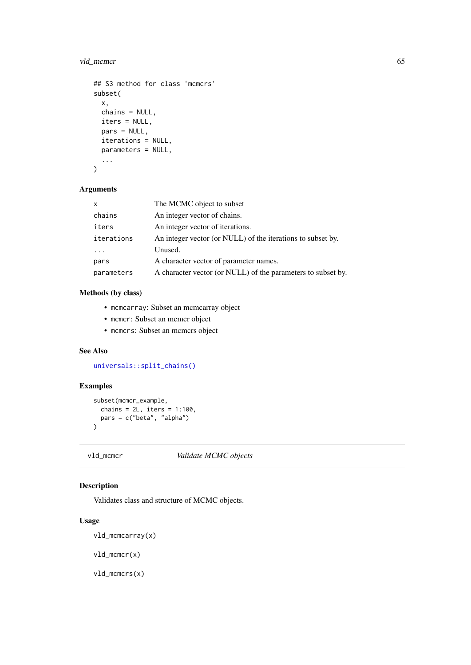#### <span id="page-64-0"></span>vld\_mcmcr 65

```
## S3 method for class 'mcmcrs'
subset(
  x,
  chains = NULL,
  iters = NULL,
  pars = NULL,
  iterations = NULL,
  parameters = NULL,
  ...
```
# $\lambda$

# Arguments

| $\mathsf{x}$ | The MCMC object to subset                                    |
|--------------|--------------------------------------------------------------|
| chains       | An integer vector of chains.                                 |
| iters        | An integer vector of iterations.                             |
| iterations   | An integer vector (or NULL) of the iterations to subset by.  |
|              | Unused.                                                      |
| pars         | A character vector of parameter names.                       |
| parameters   | A character vector (or NULL) of the parameters to subset by. |

# Methods (by class)

- mcmcarray: Subset an mcmcarray object
- mcmcr: Subset an mcmcr object
- mcmcrs: Subset an mcmcrs object

# See Also

[universals::split\\_chains\(\)](#page-0-0)

# Examples

```
subset(mcmcr_example,
  chains = 2L, iters = 1:100,
  pars = c("beta", "alpha")
)
```
<span id="page-64-1"></span>

vld\_mcmcr *Validate MCMC objects*

# Description

Validates class and structure of MCMC objects.

# Usage

```
vld_mcmcarray(x)
```
vld\_mcmcr(x)

vld\_mcmcrs(x)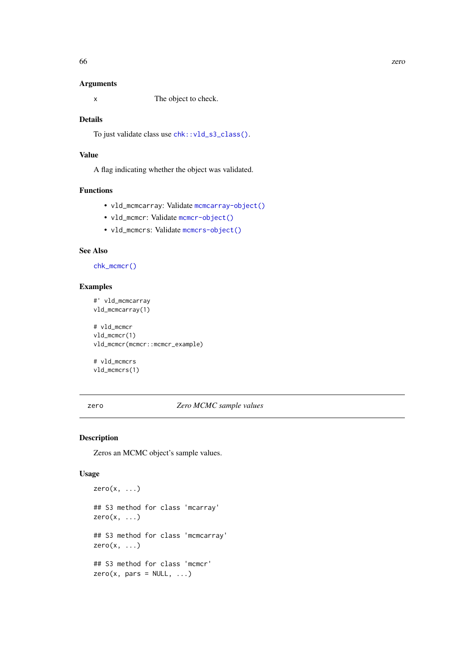#### Arguments

x The object to check.

# Details

To just validate class use [chk::vld\\_s3\\_class\(\)](#page-0-0).

#### Value

A flag indicating whether the object was validated.

#### Functions

- vld\_mcmcarray: Validate [mcmcarray-object\(\)](#page-40-1)
- vld\_mcmcr: Validate [mcmcr-object\(\)](#page-40-2)
- vld\_mcmcrs: Validate [mcmcrs-object\(\)](#page-41-2)

#### See Also

[chk\\_mcmcr\(\)](#page-16-1)

#### Examples

#' vld\_mcmcarray vld\_mcmcarray(1) # vld\_mcmcr vld mcmcr(1) vld\_mcmcr(mcmcr::mcmcr\_example)

# vld\_mcmcrs vld\_mcmcrs(1)

#### zero *Zero MCMC sample values*

#### Description

Zeros an MCMC object's sample values.

#### Usage

```
zero(x, \ldots)## S3 method for class 'mcarray'
zero(x, ...)
## S3 method for class 'mcmcarray'
zero(x, ...)
## S3 method for class 'mcmcr'
zero(x, pars = NULL, ...)
```
<span id="page-65-0"></span>66 zero zero za zamienia za ostali za zamienia za ostali za zamienia za zamienia za zamienia za zamienia za za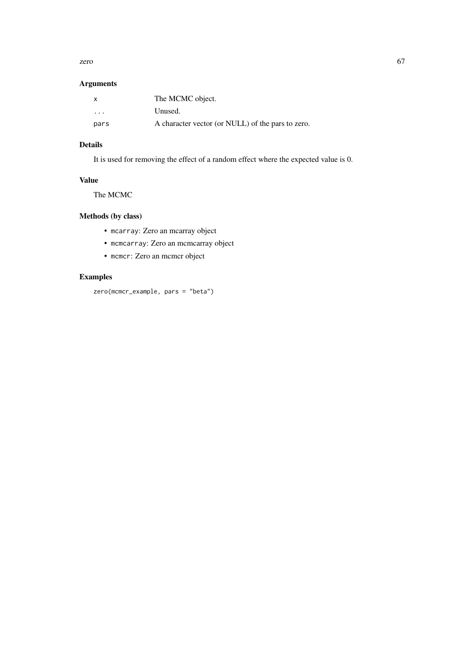zero 67

# Arguments

| x        | The MCMC object.                                  |
|----------|---------------------------------------------------|
| $\cdots$ | Unused.                                           |
| pars     | A character vector (or NULL) of the pars to zero. |

# Details

It is used for removing the effect of a random effect where the expected value is 0.

# Value

The MCMC

# Methods (by class)

- mcarray: Zero an mcarray object
- mcmcarray: Zero an mcmcarray object
- mcmcr: Zero an mcmcr object

# Examples

zero(mcmcr\_example, pars = "beta")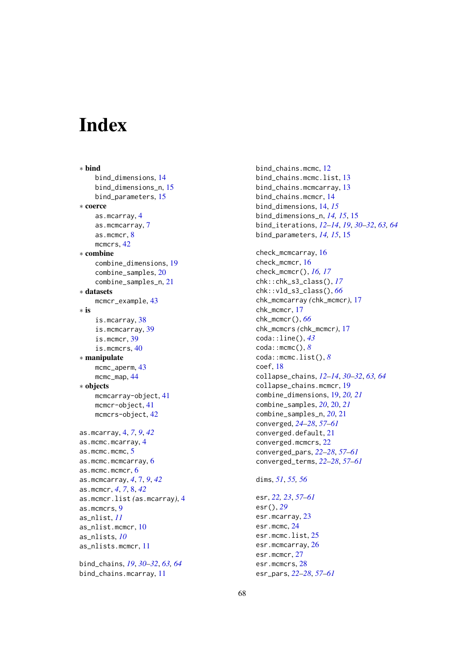# <span id="page-67-0"></span>Index

∗ bind bind\_dimensions, [14](#page-13-0) bind\_dimensions\_n, [15](#page-14-0) bind\_parameters, [15](#page-14-0) ∗ coerce as.mcarray, [4](#page-3-0) as.mcmcarray, [7](#page-6-0) as.mcmcr, [8](#page-7-0) mcmcrs, [42](#page-41-0) ∗ combine combine\_dimensions, [19](#page-18-0) combine\_samples, [20](#page-19-0) combine\_samples\_n, [21](#page-20-0) ∗ datasets mcmcr\_example, [43](#page-42-0) ∗ is is.mcarray, [38](#page-37-0) is.mcmcarray, [39](#page-38-0) is.mcmcr, [39](#page-38-0) is.mcmcrs, [40](#page-39-0) ∗ manipulate mcmc\_aperm, [43](#page-42-0) mcmc\_map, [44](#page-43-0) ∗ objects mcmcarray-object, [41](#page-40-0) mcmcr-object, [41](#page-40-0) mcmcrs-object, [42](#page-41-0) as.mcarray, [4,](#page-3-0) *[7](#page-6-0)*, *[9](#page-8-0)*, *[42](#page-41-0)* as.mcmc.mcarray, [4](#page-3-0) as.mcmc.mcmc, [5](#page-4-0) as.mcmc.mcmcarray, [6](#page-5-0) as.mcmc.mcmcr, [6](#page-5-0) as.mcmcarray, *[4](#page-3-0)*, [7,](#page-6-0) *[9](#page-8-0)*, *[42](#page-41-0)* as.mcmcr, *[4](#page-3-0)*, *[7](#page-6-0)*, [8,](#page-7-0) *[42](#page-41-0)* as.mcmcr.list *(*as.mcarray*)*, [4](#page-3-0) as.mcmcrs, [9](#page-8-0) as\_nlist, *[11](#page-10-0)* as\_nlist.mcmcr, [10](#page-9-0) as\_nlists, *[10](#page-9-0)* as\_nlists.mcmcr, [11](#page-10-0) bind\_chains, *[19](#page-18-0)*, *[30](#page-29-0)[–32](#page-31-0)*, *[63,](#page-62-0) [64](#page-63-0)* bind\_chains.mcarray, [11](#page-10-0)

bind\_chains.mcmc, [12](#page-11-0) bind\_chains.mcmc.list, [13](#page-12-0) bind\_chains.mcmcarray, [13](#page-12-0) bind\_chains.mcmcr, [14](#page-13-0) bind\_dimensions, [14,](#page-13-0) *[15](#page-14-0)* bind\_dimensions\_n, *[14,](#page-13-0) [15](#page-14-0)*, [15](#page-14-0) bind\_iterations, *[12](#page-11-0)[–14](#page-13-0)*, *[19](#page-18-0)*, *[30](#page-29-0)[–32](#page-31-0)*, *[63,](#page-62-0) [64](#page-63-0)* bind\_parameters, *[14,](#page-13-0) [15](#page-14-0)*, [15](#page-14-0) check\_mcmcarray, [16](#page-15-0) check\_mcmcr, [16](#page-15-0) check\_mcmcr(), *[16,](#page-15-0) [17](#page-16-0)* chk::chk\_s3\_class(), *[17](#page-16-0)* chk::vld\_s3\_class(), *[66](#page-65-0)* chk\_mcmcarray *(*chk\_mcmcr*)*, [17](#page-16-0) chk\_mcmcr, [17](#page-16-0) chk\_mcmcr(), *[66](#page-65-0)* chk\_mcmcrs *(*chk\_mcmcr*)*, [17](#page-16-0) coda::line(), *[43](#page-42-0)* coda::mcmc(), *[8](#page-7-0)* coda::mcmc.list(), *[8](#page-7-0)* coef, [18](#page-17-0) collapse\_chains, *[12](#page-11-0)[–14](#page-13-0)*, *[30](#page-29-0)[–32](#page-31-0)*, *[63,](#page-62-0) [64](#page-63-0)* collapse\_chains.mcmcr, [19](#page-18-0) combine\_dimensions, [19,](#page-18-0) *[20,](#page-19-0) [21](#page-20-0)* combine\_samples, *[20](#page-19-0)*, [20,](#page-19-0) *[21](#page-20-0)* combine\_samples\_n, *[20](#page-19-0)*, [21](#page-20-0) converged, *[24](#page-23-0)[–28](#page-27-0)*, *[57](#page-56-0)[–61](#page-60-0)* converged.default, [21](#page-20-0) converged.mcmcrs, [22](#page-21-0) converged\_pars, *[22](#page-21-0)[–28](#page-27-0)*, *[57](#page-56-0)[–61](#page-60-0)* converged\_terms, *[22](#page-21-0)[–28](#page-27-0)*, *[57](#page-56-0)[–61](#page-60-0)* dims, *[51](#page-50-0)*, *[55,](#page-54-0) [56](#page-55-0)* esr, *[22,](#page-21-0) [23](#page-22-0)*, *[57](#page-56-0)[–61](#page-60-0)* esr(), *[29](#page-28-0)* esr.mcarray, [23](#page-22-0) esr.mcmc, [24](#page-23-0)

esr.mcmc.list, [25](#page-24-0) esr.mcmcarray, [26](#page-25-0) esr.mcmcr, [27](#page-26-0) esr.mcmcrs, [28](#page-27-0)

esr\_pars, *[22](#page-21-0)[–28](#page-27-0)*, *[57](#page-56-0)[–61](#page-60-0)*